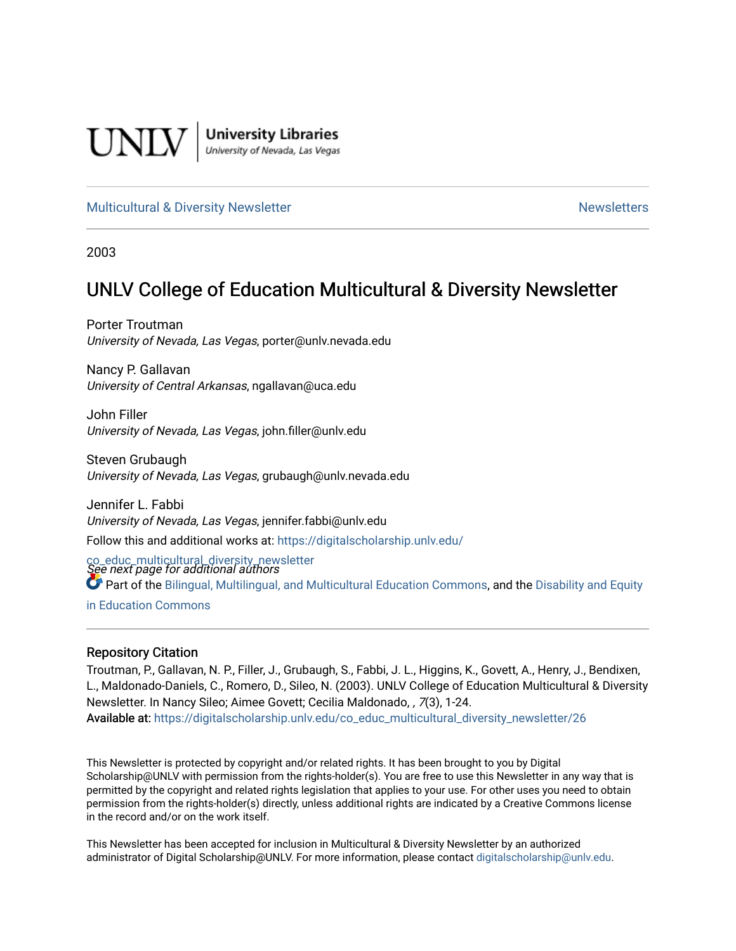

**University Libraries**<br>University of Nevada, Las Vegas

### [Multicultural & Diversity Newsletter](https://digitalscholarship.unlv.edu/co_educ_multicultural_diversity_newsletter) Newsletter [Newsletters](https://digitalscholarship.unlv.edu/co_educ_newsletters) Newsletters

2003

# UNLV College of Education Multicultural & Diversity Newsletter

Porter Troutman University of Nevada, Las Vegas, porter@unlv.nevada.edu

Nancy P. Gallavan University of Central Arkansas, ngallavan@uca.edu

John Filler University of Nevada, Las Vegas, john.filler@unlv.edu

Steven Grubaugh University of Nevada, Las Vegas, grubaugh@unlv.nevada.edu

Jennifer L. Fabbi University of Nevada, Las Vegas, jennifer.fabbi@unlv.edu Follow this and additional works at: [https://digitalscholarship.unlv.edu/](https://digitalscholarship.unlv.edu/co_educ_multicultural_diversity_newsletter?utm_source=digitalscholarship.unlv.edu%2Fco_educ_multicultural_diversity_newsletter%2F26&utm_medium=PDF&utm_campaign=PDFCoverPages)

co\_educ\_multicultural\_diversity\_newsletter<br>See next page for additional authors Part of the [Bilingual, Multilingual, and Multicultural Education Commons,](http://network.bepress.com/hgg/discipline/785?utm_source=digitalscholarship.unlv.edu%2Fco_educ_multicultural_diversity_newsletter%2F26&utm_medium=PDF&utm_campaign=PDFCoverPages) and the [Disability and Equity](http://network.bepress.com/hgg/discipline/1040?utm_source=digitalscholarship.unlv.edu%2Fco_educ_multicultural_diversity_newsletter%2F26&utm_medium=PDF&utm_campaign=PDFCoverPages)  [in Education Commons](http://network.bepress.com/hgg/discipline/1040?utm_source=digitalscholarship.unlv.edu%2Fco_educ_multicultural_diversity_newsletter%2F26&utm_medium=PDF&utm_campaign=PDFCoverPages)

#### Repository Citation

Troutman, P., Gallavan, N. P., Filler, J., Grubaugh, S., Fabbi, J. L., Higgins, K., Govett, A., Henry, J., Bendixen, L., Maldonado-Daniels, C., Romero, D., Sileo, N. (2003). UNLV College of Education Multicultural & Diversity Newsletter. In Nancy Sileo; Aimee Govett; Cecilia Maldonado, , 7(3), 1-24. Available at: [https://digitalscholarship.unlv.edu/co\\_educ\\_multicultural\\_diversity\\_newsletter/26](https://digitalscholarship.unlv.edu/co_educ_multicultural_diversity_newsletter/26) 

This Newsletter is protected by copyright and/or related rights. It has been brought to you by Digital Scholarship@UNLV with permission from the rights-holder(s). You are free to use this Newsletter in any way that is permitted by the copyright and related rights legislation that applies to your use. For other uses you need to obtain permission from the rights-holder(s) directly, unless additional rights are indicated by a Creative Commons license in the record and/or on the work itself.

This Newsletter has been accepted for inclusion in Multicultural & Diversity Newsletter by an authorized administrator of Digital Scholarship@UNLV. For more information, please contact [digitalscholarship@unlv.edu.](mailto:digitalscholarship@unlv.edu)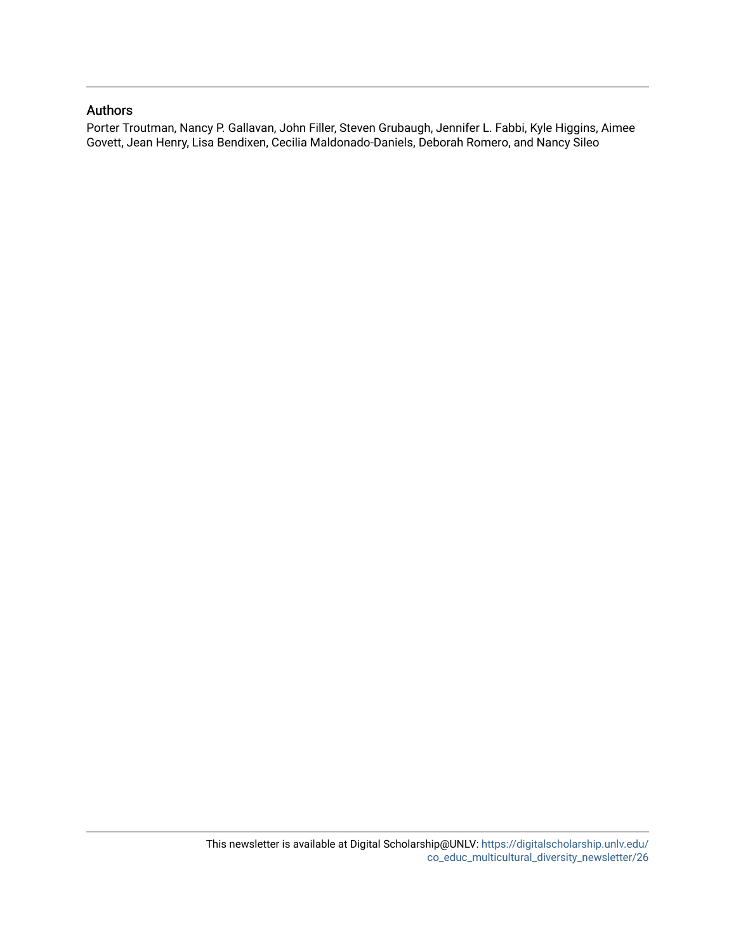#### Authors

Porter Troutman, Nancy P. Gallavan, John Filler, Steven Grubaugh, Jennifer L. Fabbi, Kyle Higgins, Aimee Govett, Jean Henry, Lisa Bendixen, Cecilia Maldonado-Daniels, Deborah Romero, and Nancy Sileo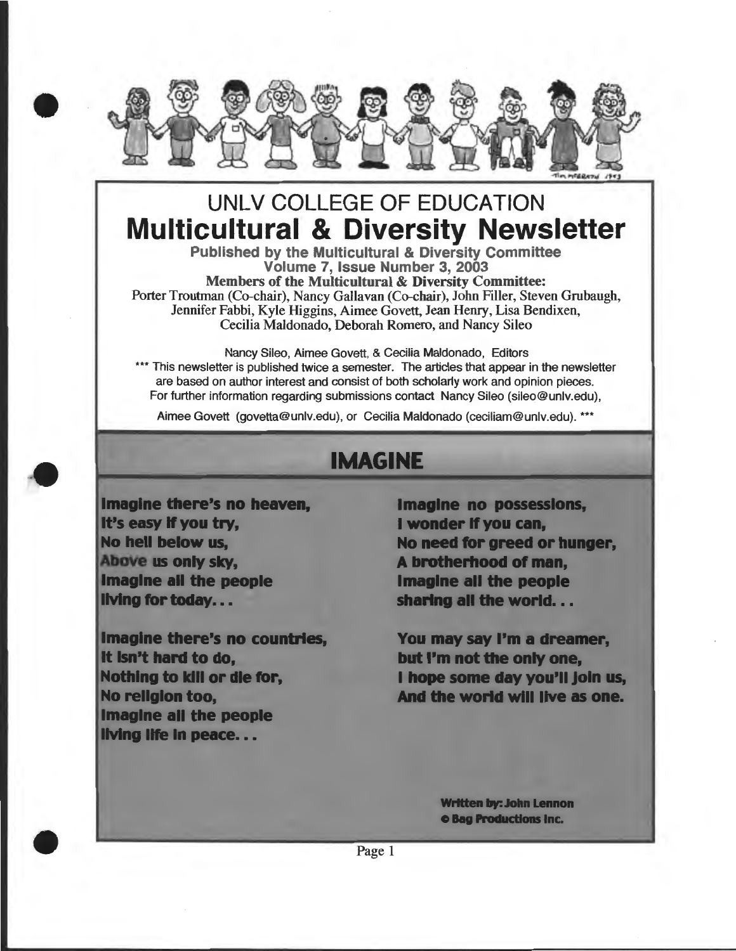

# UNLV COLLEGE OF EDUCATION **Multicultural & Diversity Newsletter**

Published by the Multicultural & Diversity Committee Volume 7, Issue Number 3, 2003 Members of the Multicultural & Diversity Committee: Porter Troutman (Co-chair), Nancy Gallavan (Co-chair), John Filler, Steven Grubaugh, Jennifer Fabbi, Kyle Higgins, Aimee Govett, Jean Henry, Lisa Bendixen, Cecilia Maldonado, Deborah Romero, and Nancy Sileo

Nancy Sileo, Aimee Govett, & Cecilia Maldonado, Editors This newsletter is published twice a semester. The articles that appear in the newsletter are based on author interest and consist of both scholarly work and opinion pieces. For further information regarding submissions contact Nancy Sileo (sileo@unlv.edu),

Aimee Govett (govetta@unlv.edu), or Cecilia Maldonado (ceciliam@unlv.edu). \*\*\*

# **IMAGINE**

Imagine there's no heaven, It's easy if you try. No hell below us. Above us only sky, Imagine all the people living for today...

Imagine there's no countries. It Isn't hard to do. Nothing to kill or die for, No religion too, Imagine all the people living life in peace...

•

Imagine no possessions, I wonder if you can. No need for greed or hunger, A brotherhood of man, Imagine all the people sharing all the world...

You may say I'm a dreamer, but I'm not the only one, I hope some day you'll join us, And the world will live as one.

> **Written by: John Lennon** e Bag Productions Inc.

Page 1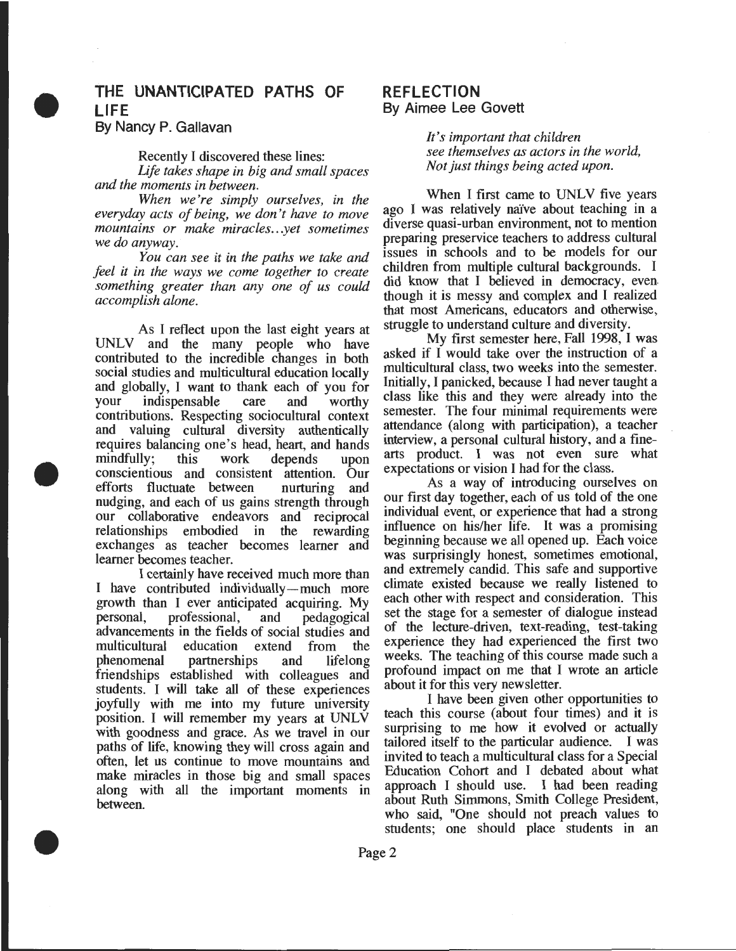# **THE UNANTICIPATED PATHS OF LIFE**

By Nancy P. Gallavan

•

•

•

Recently I discovered these lines:

*Life takes shape in big and small spaces and the moments in between.* 

*When we're simply ourselves, in the everyday acts of being, we don't have to move mountains or make miracles ... yet sometimes we do anyway.* 

*You can see it in the paths we take and feel it in the ways we come together to create something greater than any one of us could accomplish alone.* 

As I reflect upon the last eight years at UNLY and the many people who have contributed to the incredible changes in both social studies and multicultural education locally and globally, I want to thank each of you for<br>vour indispensable care and worthy indispensable care and worthy contributions. Respecting sociocultural context and valuing cultural diversity authentically requires balancing one's head, heart, and hands<br>mindfully; this work depends upon mindfully; this work depends upon conscientious and consistent attention. Our efforts fluctuate between nurturing and nudging, and each of us gains strength through our collaborative endeavors and reciprocal relationships embodied in the rewarding exchanges as teacher becomes learner and learner becomes teacher.

I certainly have received much more than I have contributed individually-much more growth than I ever anticipated acquiring. My<br>personal, professional, and pedagogical professional, advancements in the fields of social studies and multicultural education extend from the<br>phenomenal partnerships and lifelong partnerships and lifelong friendships established with colleagues and students. I will take all of these experiences joyfully with me into my future university position. I will remember my years at UNLV with goodness and grace. As we travel in our paths of life, knowing they will cross again and often, let us continue to move mountains and make miracles in those big and small spaces along with all the Important moments in between.

## **REFLECTION**  By Aimee Lee Govett

*It's important that children see themselves as actors in the world, Not just things being acted upon.* 

When I first came to UNLV five years ago I was relatively naive about teaching in a diverse quasi-urban environment, not to mention preparing preservice teachers to address cultural issues in schools and to be models for our children from multiple cultural backgrounds. I did know that I believed in democracy, even. though it is messy and complex and I realized that most Americans, educators and otherwise, struggle to understand culture and diversity.

My first semester here, Fall 1998, I was asked if I would take over the instruction of a multicultural class, two weeks into the semester. Initially, I panicked, because I had never taught a class like this and they were already into the semester. The four minimal requirements were attendance (along with participation), a teacher interview, a personal cultural history, and a finearts product. I was not even sure what expectations or vision I had for the class.

As a way of introducing ourselves on our first day together, each of us told of the one individual event, or experience that had a strong influence on his/her life. It was a promising beginning because we all opened up. Each voice was surprisingly honest, sometimes emotional, and extremely candid. This safe and supportive climate existed because we really listened to each other with respect and consideration. This set the stage for a semester of dialogue instead of the lecture-driven, text-reading, test-taking experience they had experienced the first two weeks. The teaching of this course made such a profound impact on me that I wrote an article about it for this very newsletter.

I have been given other opportunities to teach this course (about four times) and it is surprising to me how it evolved or actually tailored itself to the particular audience. I was invited to teach a multicultural class for a Special Education Cohort and I debated about what approach I should use. I had been reading about Ruth Simmons, Smith College President, who said, "One should not preach values to students; one should place students in an

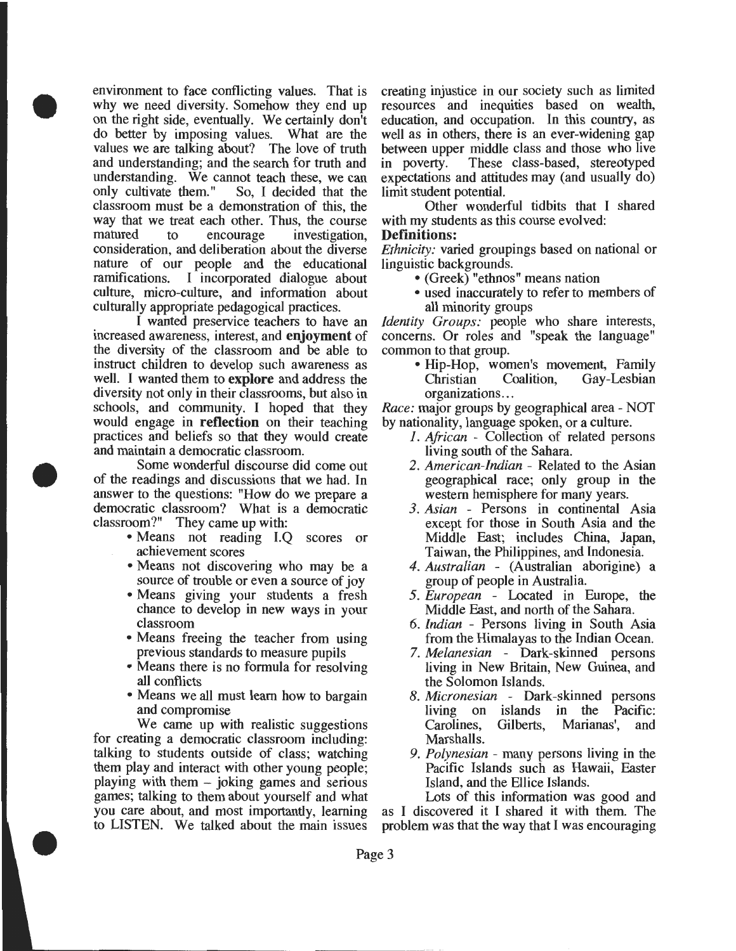environment to face conflicting values. That is why we need diversity. Somehow they end up on the right side, eventually. We certainly don't do better by imposing values. What are the values we are talking about? The love of truth and understanding; and the search for truth and understanding. We cannot teach these, we can<br>only cultivate them." So, I decided that the So, I decided that the classroom must be a demonstration of this, the way that we treat each other. Thus, the course<br>matured to encourage investigation. to encourage investigation, consideration, and deliberation about the diverse nature of our people and the educational ramifications. I incorporated dialogue about culture, micro-culture, and information about culturally appropriate pedagogical practices.

•

•

•

I wanted preservice teachers to have an increased awareness, interest, and **enjoyment** of the diversity of the classroom and be able to instruct children to develop such awareness as well. I wanted them to **explore** and address the diversity not only in their classrooms, but also in schools, and community. I hoped that they would engage in **reflection** on their teaching practices and beliefs so that they would create and maintain a democratic classroom.

Some wonderful discourse did come out of the readings and discussions that we had. In answer to the questions: "How do we prepare a democratic classroom? What is a democratic classroom?" They came up with:

- Means not reading I.Q scores or achievement scores
- Means not discovering who may be a source of trouble or even a source of joy
- Means giving your students a fresh chance to develop in new ways in your classroom
- Means freeing the teacher from using previous standards to measure pupils
- Means there is no formula for resolving all conflicts
- Means we all must learn how to bargain and compromise

We came up with realistic suggestions for creating a democratic classroom including: talking to students outside of class; watching them play and interact with other young people; playing with them  $-$  joking games and serious games; talking to them about yourself and what you care about, and most importantly, learning to LISTEN. We talked about the main issues

creating injustice in our society such as limited resources and inequities based on wealth, education, and occupation. In this country, as well as in others, there is an ever-widening gap between upper middle class and those who live<br>in poverty. These class-based, stereotyped These class-based, stereotyped expectations and attitudes may (and usually do) limit student potential.

Other wonderful tidbits that I shared with my students as this course evolved:

#### **Definitions:**

*Ethnicity:* varied groupings based on national or linguistic backgrounds.

- (Greek) "ethnos" means nation
- used inaccurately to refer to members of all minority groups

*Identity Groups:* people who share interests, concerns. Or roles and "speak the language" common to that group.

• Hip-Hop, women's movement, Family<br>Christian Coalition, Gay-Lesbian Gay-Lesbian organizations ...

*Race:* major groups by geographical area - NOT by nationality, language spoken, or a culture.

- *1. African*  Collection of related persons living south of the Sahara.
- 2. *American-Indian-* Related to the Asian geographical race; only group in the western hemisphere for many years.
- *3. Asian*  Persons in continental Asia except for those in South Asia and the Middle East; includes China, Japan, Taiwan, the Philippines, and Indonesia.
- *4. Australian*  (Australian aborigine) a group of people in Australia.
- 5. *European*  Located in Europe, the Middle East, and north of the Sahara.
- *6. Indian*  Persons living in South Asia from the Himalayas to the Indian Ocean.
- 7. *Melanesian*  Dark-skinned persons living in New Britain, New Guinea, and the Solomon Islands.
- *8. Micronesian*  Dark-skinned persons living on islands in the Pacific: Carolines, Gilberts, Marianas', and Marshalls.
- *9. Polynesian*  many persons living in the Pacific Islands such as Hawaii, Easter Island, and the Ellice Islands.

Lots of this information was good and as I discovered it I shared it with them. The problem was that the way that I was encouraging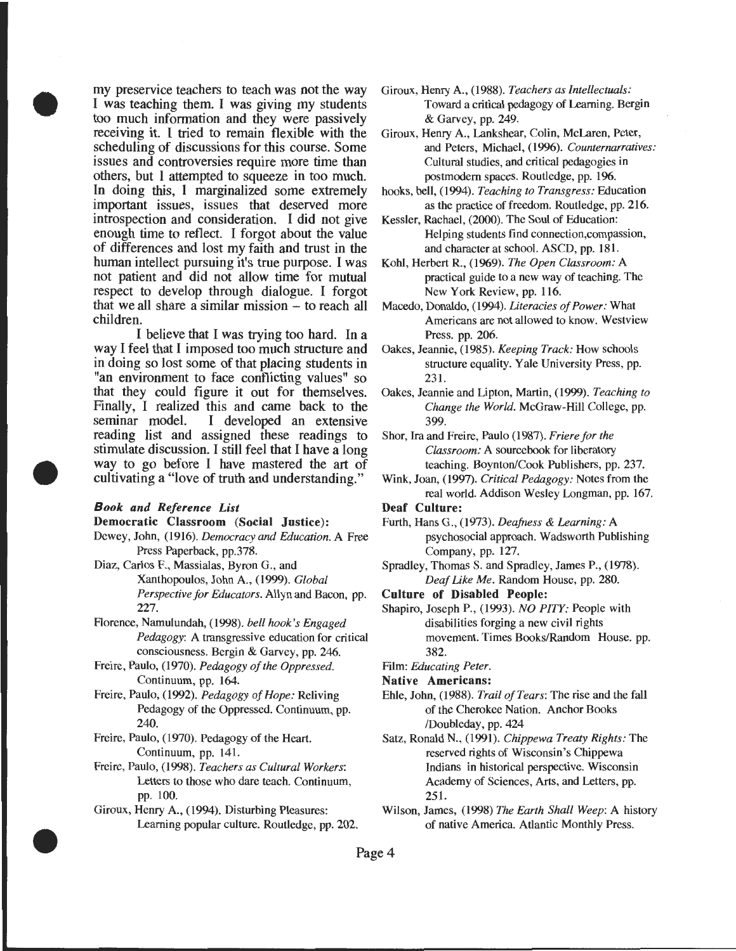my preservice teachers to teach was not the way I was teaching them. I was giving my students too much information and they were passively receiving it. I tried to remain flexible with the scheduling of discussions for this course. Some issues and controversies require more time than others, but I attempted to squeeze in too much. In doing this, I marginalized some extremely important issues, issues that deserved more introspection and consideration. I did not give enough time to reflect. I forgot about the value of differences and lost my faith and trust in the human intellect pursuing it's true purpose. I was not patient and did not allow time for mutual respect to develop through dialogue. I forgot that we all share a similar mission  $-$  to reach all children.

I believe that I was trying too hard. In a way I feel that I imposed too much structure and in doing so lost some of that placing students in "an environment to face conflicting values" so that they could figure it out for themselves. Finally, I realized this and came back to the seminar model. I developed an extensive I developed an extensive reading list and assigned these readings to stimulate discussion. I still feel that I have a long way to go before I have mastered the art of cultivating a "love of truth and understanding."

#### *Book and Reference List*

•

•

•

#### Democratic Classroom (Social Justice):

- Dewey, John, (1916). *Democracy and Education.* A Free Press Paperback, pp.378.
- Diaz, Carlos F., Massialas, Byron G., and Xanthopoulos, John A., (1999). *Global Perspective for Educators.* Allyn and Bacon, pp. 227.
- Florence, Namulundah, (1998). *bell hook's Engaged Pedagogy:* A transgressive education for critical consciousness. Bergin & Garvey, pp. 246.
- Freire, Paulo, (1970). *Pedagogy of the Oppressed.*  Continuum, pp. 164.
- Freire, Paulo, (1992). *Pedagogy of Hope:* Reliving Pedagogy of the Oppressed. Continuum, pp. 240.
- Freire, Paulo, (1970). Pedagogy of the Heart. Continuum, pp. 141.
- Freire, Paulo, (1998). *Teachers as Cultural Workers:*  Letters to those who dare teach. Continuum, pp. 100.
- Giroux, Henry A., (1994). Disturbing Pleasures: Learning popular culture. Routledge, pp. 202.
- Giroux, Henry A., (1988). *Teachers as Intellectuals:*  Toward a critical pedagogy of Learning. Bergin & Garvey, pp. 249.
- Giroux, Henry A., Lankshear, Colin, McLaren, Peter, and Peters, Michael, (1996). *Counternarratives:*  Cultural studies, and critical pedagogics in postmodem spaces. Routledge, pp. 196.
- hooks, bell, (1994). *Teaching to Transgress:* Education as the practice of freedom. Routledge, pp. 216.
- Kessler, Rachael, (2000). The Soul of Education: Helping students find connection,compassion, and character at school. ASCD, pp. 181.
- Kohl, Herbert R., (1969). *The Open Classroom:* A practical guide to a new way of teaching. The New York Review, pp. 116.
- Macedo, Donaldo, (1994). *Literacies of Power:* What Americans are not allowed to know. Westview Press. pp. 206.
- Oakes, Jeannie, (1985). *Keeping Track:* How schools structure equality. Yale University Press, pp. 231.
- Oakes, Jeannie and Lipton, Martin, (1999). *Teaching to Change the World.* McGraw-Hill College, pp. 399.
- Shor, Ira and Freire, Paulo (1987). *Friere for the Classroom:* A sourcebook for liberatory teaching. Boynton/Cook Publishers, pp. 237 .
- Wink, Joan, (1997). *Critical Pedagogy:* Notes from the real world. Addison Wesley Longman, pp. 167.
- Deaf Culture:
- Furth, Hans G., (1973). *Deafness* & *Learning:* A psychosocial approach. Wadsworth Publishing Company, pp. 127.
- Spradley, Thomas S. and Spradley, James P., (1978). *Deaf Like Me.* Random House, pp. 280.
- Culture of Disabled People:
- Shapiro, Joseph P., (1993). *NO PITY:* People with disabilities forging a new civil rights movement. Times Books/Random House. pp. 382.
- Film: *Educating Peter.*
- Native Americans:
- Ehle, John, (1988). *Trail of Tears:* The rise and the fall of the Cherokee Nation. Anchor Books /Doubleday, pp. 424
- Satz, Ronald N., (1991). *Chippewa Treaty Rights:* The reserved rights of Wisconsin's Chippewa Indians in historical perspective. Wisconsin Academy of Sciences, Arts, and Letters, pp. 251.
- Wilson, James, (1998) *The Earth Shall Weep:* A history of native America. Atlantic Monthly Press .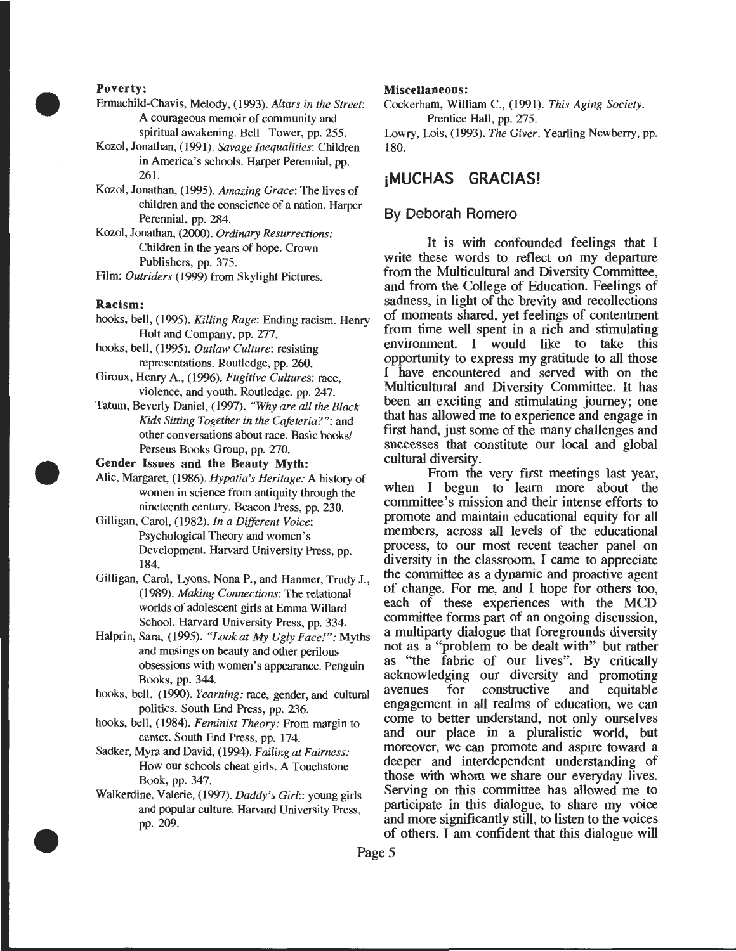Poverty:

•

•

•

- Ennachild-Chavis, Melody, (1993). *Altars in the Street:*  A courageous memoir of community and spiritual awakening. Bell Tower, pp. 255.
- Kozol, Jonathan, (1991). *Savage Inequalities:* Children in America's schools. Harper Perennial, pp. 261.
- Kozol, Jonathan, (1995). *Amazing Grace:* The lives of children and the conscience of a nation. Harper Perennial, pp. 284.
- Kozol, Jonathan, (2000). *Ordinary Resurrections:*  Children in the years of hope. Crown Publishers, pp. 375.

Film: *Outriders* (1999) from Skylight Pictures.

#### Racism:

hooks, bell, (1995). *Killing Rage:* Ending racism. Henry Holt and Company, pp. 277.

hooks, bell, (1995). *Outlaw Culture:* resisting representations. Routledge, pp. 260.

- Giroux, Henry A., (1996). *Fugitive Cultures:* race, violence, and youth. Routledge. pp. 247.
- Tatum, Beverly Daniel, (1997). *"Why are all the Black Kids Sitting Together in the Cafeteria?":* and other conversations about race. Basic books/ Perseus Books Group, pp. 270.

#### Gender Issues and the Beauty Myth:

- Alic, Margaret, (1986). *Hypatia's Heritage:* A history of women in science from antiquity through the nineteenth century. Beacon Press, pp. 230.
- Gilligan, Carol, (1982). *In a Different Voice:*  Psychological Theory and women's Development. Harvard University Press, pp. 184.
- Gilligan, Carol, Lyons, Nona P., and Hanmer, Trudy J., (1989). *Making Connections:* The relational worlds of adolescent girls at Emma Willard School. Harvard University Press, pp. 334.
- Halprin, Sara, (1995). "Look at My Ugly Face!": Myths and musings on beauty and other perilous obsessions with women's appearance. Penguin Books, pp. 344.
- hooks, bell, (1990). *Yearning:* race, gender, and cultural politics. South End Press, pp. 236.
- hooks, bell, (1984). *Feminist Theory:* From margin to center. South End Press, pp. 174.
- Sadker, Myra and David, (1994). *Failing at Fairness:*  How our schools cheat girls. A Touchstone Book, pp. 347.
- Walkerdine, Valerie, (1997). *Daddy's Girl::* young girls and popular culture. Harvard University Press, pp. 209.

#### Miscellaneous:

Cockerham, William C., (1991). *This Aging Society.*  Prentice Hall, pp. 275.

Lowry, Lois, (1993). *The Giver.* Yearling Newberry, pp. 180.

## **iMUCHAS GRACIAS!**

#### By Deborah Romero

It is with confounded feelings that I write these words to reflect on my departure from the Multicultural and Diversity Committee, and from the College of Education. Feelings of sadness, in light of the brevity and recollections of moments shared, yet feelings of contentment from time well spent in a rich and stimulating environment. I would like to take this opportunity to express my gratitude to all those I have encountered and served with on the Multicultural and Diversity Committee. It has been an exciting and stimulating journey; one that has allowed me to experience and engage in first hand, just some of the many challenges and successes that constitute our local and global cultural diversity.

From the very first meetings last year, when I begun to learn more about the committee's mission and their intense efforts to promote and maintain educational equity for all members, across all levels of the educational process, to our most recent teacher panel on diversity m the classroom, I came to appreciate the committee as a dynamic and proactive agent of change. For me, and I hope for others too, each of these experiences with the MCD committee forms part of an ongoing discussion, a multiparty dialogue that foregrounds diversity not as a "problem to be dealt with" but rather as "the fabric of our lives". By critically acknowledging our diversity and promoting for constructive and equitable engagement in all realms of education, we can come to better understand, not only ourselves and our place in a pluralistic world, but moreover, we can promote and aspire toward a deeper and interdependent understanding of those wtth whom we share our everyday lives. Serving on this committee has allowed me to participate in this dialogue, to share my voice and more significantly still, to listen to the voices of others. I am confident that this dialogue will

Page 5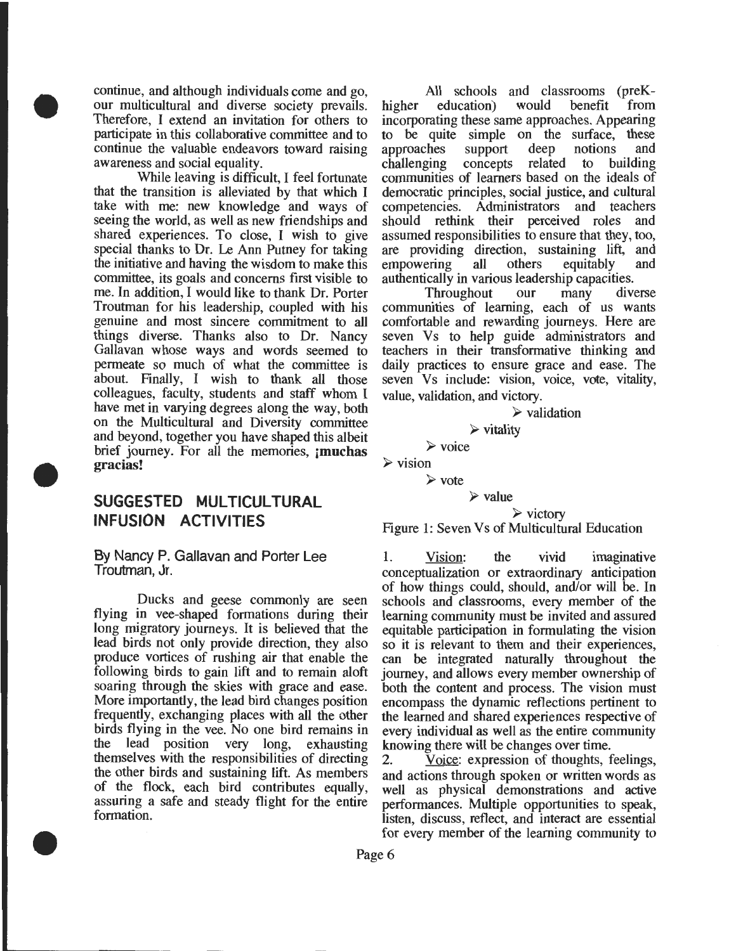continue, and although individuals come and go, our multicultural and diverse society prevails. Therefore, I extend an invitation for others to participate in this collaborative committee and to continue the valuable endeavors toward raising awareness and social equality.

•

•

•

While leaving is difficult, I feel fortunate that the transition is alleviated by that which I take with me: new knowledge and ways of seeing the world, as well as new friendships and shared experiences. To close, I wish to give special thanks to Dr. Le Ann Putney for taking the initiative and having the wisdom to make this committee, its goals and concerns first visible to me. In addition, I would like to thank Dr. Porter Troutman for his leadership, coupled with his genuine and most sincere commitment to all things diverse. Thanks also to Dr. Nancy Gallavan whose ways and words seemed to permeate so much of what the committee is about. Finally, I wish to thank all those colleagues, faculty, students and staff whom I have met in varying degrees along the way, both on the Multicultural and Diversity committee and beyond, together you have shaped this albeit brief journey. For all the memories, **muchas** gracias!

## **SUGGESTED MULTICULTURAL INFUSION ACTIVITIES**

By Nancy P. Gallavan and Porter Lee Troutman, Jr.

Ducks and geese commonly are seen flying in vee-shaped formations during their long migratory journeys. It is believed that the lead birds not only provide direction, they also produce vortices of rushing air that enable the following birds to gain lift and to remain aloft soaring through the skies with grace and ease. More importantly, the lead bird changes position frequently, exchanging places with all the other birds flying in the vee. No one bird remains in the lead position very long, exhausting themselves with the responsibilities of directing the other birds and sustaining lift. As members of the flock, each bird contributes equally, assuring a safe and steady flight for the entire formation.

All schools and classrooms (preK-<br>education) would benefit from higher education) incorporating these same approaches. Appearing to be quite simple on the surface, these<br>approaches support deep notions and approaches support deep notions and<br>challenging concepts related to building challenging communities of learners based on the ideals of democratic principles, social justice, and cultural competencies. Administrators and teachers should rethink their perceived roles assumed responsibilities to ensure that they, too, are providing direction, sustaining lift, and empowering authentically in various leadership capacities.<br>Throughout our many diverse

Throughout communities of learning, each of us wants comfortable and rewarding journeys. Here are seven Vs to help guide administrators and teachers in their transformative thinking and daily practices to ensure grace and ease. The seven Vs include: vision, voice, vote, vitality, value, validation, and victory.

 $\triangleright$  validation

 $\triangleright$  vitality

 $\triangleright$  voice

 $\triangleright$  vision

 $\triangleright$  vote  $\triangleright$  value

 $\triangleright$  victory

Figure 1: Seven Vs of Multicultural Education

1. Vision: the vivid imaginative conceptualization or extraordinary anticipation of how things could, should, and/or will be. In schools and classrooms, every member of the learning community must be invited and assured equitable participation in formulating the vision so it is relevant to them and their experiences, can be integrated naturally throughout the journey, and allows every member ownership of both the content and process. The vision must encompass the dynamic reflections pertinent to the learned and shared experiences respective of every individual as well as the entire community knowing there will be changes over time.

2. Voice: expression of thoughts, feelings, and actions through spoken or written words as well as physical demonstrations and active performances. Multiple opportunities to speak, listen, discuss, reflect, and interact are essential for every member of the learning community to

Page 6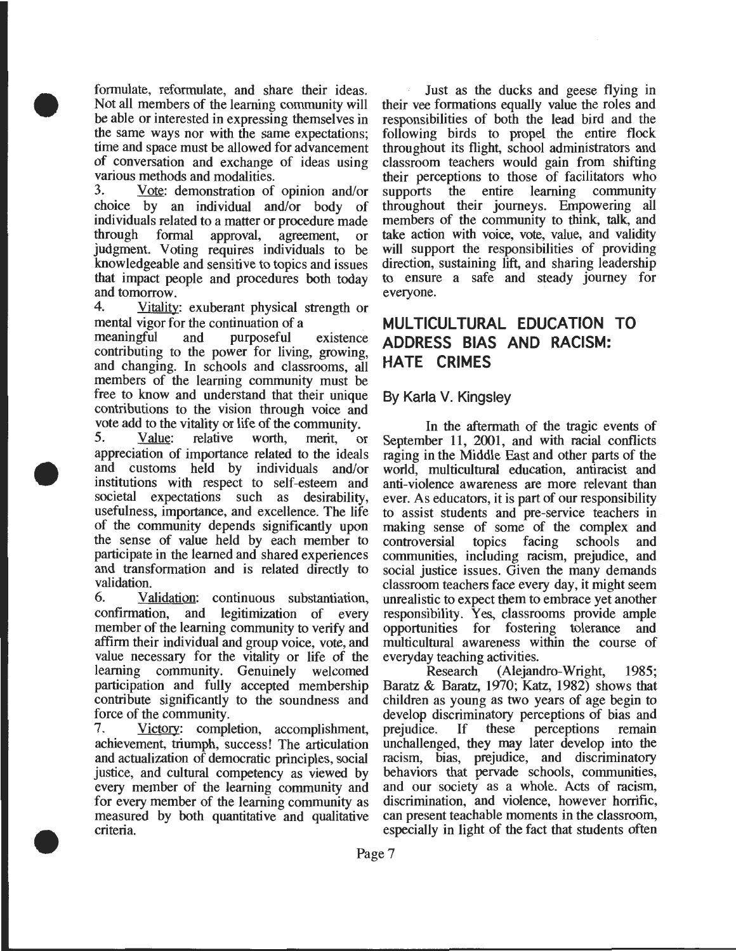formulate, reformulate, and share their ideas. Not all members of the learning community will be able or interested in expressing themselves in the same ways nor with the same expectations; time and space must be allowed for advancement of conversation and exchange of ideas using various methods and modalities.<br>3. Vote: demonstration of

•

•

•

Vote: demonstration of opinion and/or choice by an individual and/or body of individuals related to a matter or procedure made through formal approval, agreement, or judgment. Voting requires individuals to be knowledgeable and sensitive to topics and issues that impact people and procedures both today and tomorrow.

4. Vitality: exuberant physical strength or

mental vigor for the continuation of a<br>meaningful and purposeful purposeful existence contributing to the power for living, growing, and changing. In schools and classrooms, all members of the learning community must be free to know and understand that their unique contributions to the vision through voice and vote add to the vitality or life of the community.<br>5. Value: relative worth, merit, o

5. Value: relative worth, merit, or appreciation of importance related to the ideals and customs held by individuals and/or institutions with respect to self-esteem and societal expectations such as desirability, usefulness, importance, and excellence. The life of the community depends significantly upon the sense of value held by each member to participate in the learned and shared experiences and transformation and is related directly to validation.

6. Validation: continuous substantiation, confirmation, and legitimization of every member of the learning community to verify and affirm their individual and group voice, vote, and value necessary for the vitality or life of the learning community. Genuinely welcomed participation and fully accepted membership contribute significantly to the soundness and force of the community.<br>7. Victory: compl

Victory: completion, accomplishment, achievement, triumph, success! The articulation and actualization of democratic principles, social justice, and cultural competency as viewed by every member of the learning community and for every member of the learning community as measured by both quantitative and qualitative criteria .

Just as the ducks and geese flying in their vee formations equally value the roles and responsibilities of both the lead bird and the following birds to propel the entire flock throughout its flight, school administrators and classroom teachers would gain from shifting their perceptions to those of facilitators who supports the entire learning community throughout their journeys. Empowering all members of the community to think, talk, and take action with voice, vote, value, and validity will support the responsibilities of providing direction, sustaining lift, and sharing leadership to ensure a safe and steady journey for everyone.

# **MULTICULTURAL EDUCATION TO ADDRESS BIAS AND RACISM: HATE CRIMES**

## By Karla V. Kingsley

In the aftermath of the tragic events of September 11, 2001, and with racial conflicts raging in the Middle East and other parts of the world, multicultural education, antiracist and anti-violence awareness are more relevant than ever. As educators, it is part of our responsibility to assist students and pre-service teachers in making sense of some of the complex and<br>controversial topics facing schools and controversial communities, including racism, prejudice, and social justice issues. Given the many demands classroom teachers face every day, it might seem unrealistic to expect them to embrace yet another responsibility. Yes, classrooms provide ample opportunities for fostering tolerance and multicultural awareness within the course of everyday teaching activities.

Research (Alejandro-Wright, 1985; Baratz & Baratz, 1970; Katz, 1982) shows that children as young as two years of age begin to develop discriminatory perceptions of bias and<br>prejudice. If these perceptions remain prejudice. If these perceptions unchallenged, they may later develop into the racism, bias, prejudice, and discriminatory behaviors that pervade schools, communities, and our society as a whole. Acts of racism, discrimination, and violence, however horrific, can present teachable moments in the classroom, especially in light of the fact that students often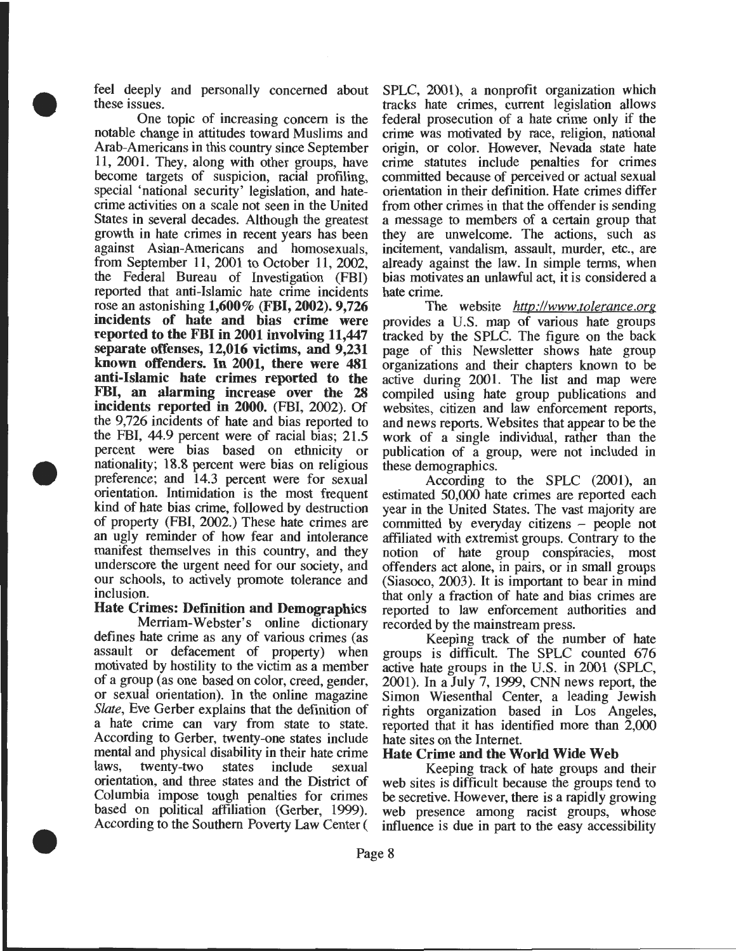feel deeply and personally concerned about these issues.

•

•

•

One topic of increasing concern is the notable change in attitudes toward Muslims and Arab-Americans in this country since September 11, 2001. They, along with other groups, have become targets of suspicion, racial profiling, special 'national security' legislation, and hatecrime activities on a scale not seen in the United States in several decades. Although the greatest growth in hate crimes in recent years has been against Asian-Americans and homosexuals, from September 11, 2001 to October 11, 2002, the Federal Bureau of Investigation (FBI) reported that anti-Islamic hate crime incidents rose an astonishing 1,600% (FBI, 2002). 9,726 incidents of hate and bias crime were reported to the FBI in 2001 involving 11,447 separate offenses, 12,016 victims, and 9,231 known offenders. In 2001, there were 481 anti-Islamic bate crimes reported to the FBI, an alarming increase over the 28 incidents reported in 2000. (FBI, 2002). Of the 9,726 incidents of hate and bias reported to the FBI, 44.9 percent were of racial bias; 21.5 percent were bias based on ethnicity or nationality; 18.8 percent were bias on religious preference; and 14.3 percent were for sexual orientation. Intimidation is the most frequent kind of hate bias crime, followed by destruction of property (FBI, 2002.) These hate crimes are an ugly reminder of how fear and intolerance manifest themselves in this country, and they underscore the urgent need for our society, and our schools, to actively promote tolerance and inclusion.

#### Hate Crimes: Definition and Demographics

Merriam-Webster's online dictionary defines hate crime as any of various crimes (as assault or defacement of property) when motivated by hostility to the victim as a member of a group (as one based on color, creed, gender, or sexual orientation). In the online magazine *Slate,* Eve Gerber explains that the definition of a hate crime can vary from state to state. According to Gerber, twenty-one states include mental and physical disability in their hate crime laws, twenty-two states include sexual orientation, and three states and the District of Columbia impose tough penalties for crimes based on political affiliation (Gerber, 1999). According to the Southern Poverty Law Center (

SPLC, 2001), a nonprofit organization which tracks hate crimes, current legislation allows federal prosecution of a hate crime only if the crime was motivated by race, religion, national origin, or color. However, Nevada state hate crime statutes include penalties for crimes committed because of perceived or actual sexual orientation in their definition. Hate crimes differ from other crimes in that the offender is sending a message to members of a certain group that they are unwelcome. The actions, such as incitement, vandalism, assault, murder, etc., are already against the law. In simple terms, when bias motivates an unlawful act, it is considered a hate crime.

The website *http://www .tolerance .org*  provides a U.S. map of various hate groups tracked by the SPLC. The figure on the back page of this Newsletter shows hate group organizations and their chapters known to be active during 2001. The list and map were compiled using hate group publications and websites, citizen and law enforcement reports, and news reports. Websites that appear to be the work of a single individual, rather than the publication of a group, were not included in

these demographics.<br>According to the SPLC (2001), an estimated 50,000 hate crimes are reported each year in the United States. The vast majority are committed by everyday citizens - people not affiliated with extremist groups. Contrary to the notion of hate group conspiracies, most offenders act alone, in pairs, or in small groups (Siasoco, 2003). It is important to bear in mind that only a fraction of hate and bias crimes are reported to law enforcement authorities and recorded by the mainstream press.

Keeping track of the number of hate groups is difficult. The SPLC counted 676 active hate groups in the U.S. in 2001 (SPLC, 2001). In a July 7, 1999, CNN news report, the Simon Wiesenthal Center, a leading Jewish rights organization based in Los Angeles, reported that it has identified more than 2,000 hate sites on the Internet.

#### Hate Crime and the World Wide Web

Keeping track of hate groups and their web sites is difficult because the groups tend to be secretive. However, there is a rapidly growing web presence among racist groups, whose influence is due in part to the easy accessibility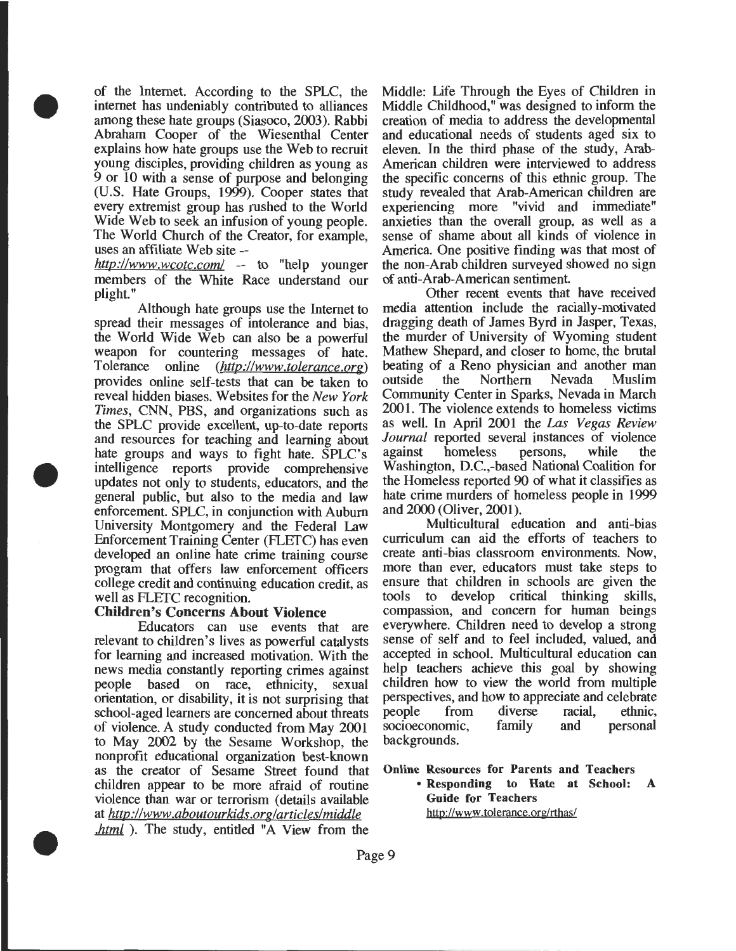of the Internet. According to the SPLC, the internet has undeniably contributed to alliances among these hate groups (Siasoco, 2003). Rabbi Abraham Cooper of the Wiesenthal Center explains how hate groups use the Web to recruit young disciples, providing children as young as 9 or 10 with a sense of purpose and belonging (U.S. Hate Groups, 1999). Cooper states that every extremist group has rushed to the World Wide Web to seek an infusion of young people. The World Church of the Creator, for example, uses an affiliate Web site --

•

•

•

*http://www.wcotc.coml* -- to "help younger members of the White Race understand our plight."

Although hate groups use the Internet to spread their messages of intolerance and bias, the World Wide Web can also be a powerful weapon for countering messages of hate. Tolerance online *(http://www.tolerance.org)*  provides online self-tests that can be taken to reveal hidden biases. Websites for the *New York Times,* CNN, PBS, and organizations such as the SPLC provide excellent, up-to-date reports and resources for teaching and learning about hate groups and ways to fight hate. SPLC's intelligence reports provide comprehensive updates not only to students, educators, and the general public, but also to the media and law enforcement. SPLC, in conjunction with Auburn University Montgomery and the Federal Law Enforcement Training Center (FLEfC) has even developed an online hate crime training course program that offers law enforcement officers college credit and continuing education credit, as well as FLEfC recognition.

#### Children's Concerns About Violence

Educators can use events that are relevant to children's lives as powerful catalysts for learning and increased motivation. With the news media constantly reporting crimes against people based on race, ethnicity, sexual orientation, or disability, it is not surprising that school-aged learners are concerned about threats of violence. A study conducted from May 2001 to May 2002 by the Sesame Workshop, the nonprofit educational organization best-known as the creator of Sesame Street found that children appear to be more afraid of routine violence than war or terrorism (details available at *http://www.aboutourkids.org/articles/middle .html* ). The study, entitled "A View from the

Middle: Life Through the Eyes of Children in Middle Childhood," was designed to inform the creation of media to address the developmental and educational needs of students aged six to eleven. In the third phase of the study, Arab-American children were interviewed to address the specific concerns of this ethnic group. The study revealed that Arab-American children are experiencing more "vivid and immediate" anxieties than the overall group, as well as a sense of shame about all kinds of violence in America. One positive finding was that most of the non-Arab children surveyed showed no sign of anti-Arab-American sentiment.

Other recent events that have received media attention include the racially-motivated dragging death of James Byrd in Jasper, Texas, the murder of University of Wyoming student Mathew Shepard, and closer to home, the brutal beating of a Reno physician and another man outside the Northern Nevada Muslim Community Center in Sparks, Nevada in March 2001. The violence extends to homeless victims as well. In April 2001 the *Las Vegas Review Journal* reported several instances of violence against homeless persons, while the Washington, D.C.,-based National Coalition for the Homeless reported 90 of what it classifies as hate crime murders of homeless people in 1999 and 2000 (Oliver, 2001).

Multicultural education and anti-bias curriculum can aid the efforts of teachers to create anti-bias classroom environments. Now, more than ever, educators must take steps to ensure that children in schools are given the tools to develop critical thinking skills, compassion, and concern for human beings everywhere. Children need to develop a strong sense of self and to feel included, valued, and accepted in school. Multicultural education can help teachers achieve this goal by showing children how to view the world from multiple perspectives, and how to appreciate and celebrate people from diverse racial, ethnic,<br>socioeconomic, family and personal socioeconomic, family and backgrounds.

## Online Resources for Parents and Teachers

• Responding to Hate at School: A Guide for Teachers http://www.tolerance.org/rthas/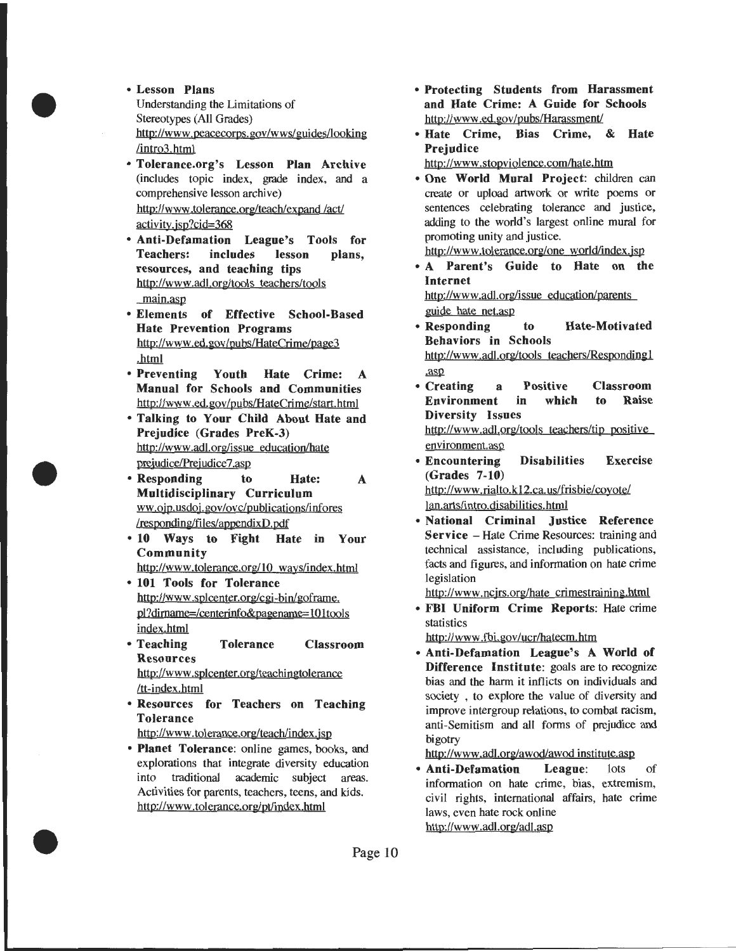• Lesson Plans Understanding the Limitations of Stereotypes (All Grades) http://www .peacecorps.gov/wws/guides/looking /intro3. html

•

•

•

• Tolerance.org's Lesson Plan Archive (includes topic index, grade index, and a comprehensive lesson archive)

http://www.tolerance.org/teach/expand /act/ activity.jsp?cid=368

- Anti-Defamation League's Tools for Teachers: includes lesson plans, resources, and teaching tips http://www.adl.org/tools teachers/tools main. asp
- Elements of Effective School-Based Hate Prevention Programs http://www.ed.gov/pubs/HateCrime/page3 .html
- Preventing Youth Hate Crime: A Manual for Schools and Communities http://www.ed.gov/pubs/HateCrime/start.html
- Talking to Your Child About Hate and Prejudice (Grades PreK-3) http://www.adl.org/issue education/hate prejudice/Prejudice7.asp
- Responding to Hate: A Multidisciplinary Curriculum ww .ojp. usdoj. gov /ovc/publications/infores  $responding files/appendixD.pdf$
- 10 Ways to Fight Hate in Your Community http://www.tolerance.org/10\_ways/index.html
- 101 Tools for Tolerance http://www.splcenter.org/cgi-bin/goframe. pl?dimame=/centerinfo&pagename=lOI tools index.html
- Teaching Tolerance Classroom Resources

http://www .splcenter.org/teachingtolerance /tt-index.html

• Resources for Teachers on Teaching Tolerance

http://www.tolerance.org/teach/index.jsp

• Planet Tolerance: online games, books, and explorations that integrate diversity education into traditional academic subject areas. Activities for parents, teachers, teens, and kids. http://www.tolerance.org/pt/index.html

- Protecting Students from Harassment and Hate Crime: A Guide for Schools http://www.ed.gov/pubs/Harassment/
- Hate Crime, Bias Crime, & Hate **Prejudice**

http://www.stopviolence.com/hate.htm

• One World Mural Project: children can create or upload artwork or write poems or sentences celebrating tolerance and justice, adding to the world's largest online mural for promoting unity and justice.

http://www.tolerance.org/one world/index.isp

• A Parent's Guide to Hate on the Internet http://www.adl.org/issue education/parents

guide hate net.asp

- Responding to Hate-Motivated Behaviors in Schools http://www.adl.org/tools\_teachers/Responding1 .asp
- Creating a Positive Classroom Environment in which to Diversity Issues

http://www.adl.org/tools teachers/tip positive environment.asp

• Encountering Disabilities Exercise (Grades 7-10)

http://www.rialto.kl2.ca.us/frisbie/coyote/ lan.arts/intro.disabilities.html

• National Criminal Justice Reference Service - Hate Crime Resources: training and technical assistance, including publications, facts and figures, and information on hate crime legislation

http://www.ncjrs.org/hate\_crimestraining.html

• FBI Uniform Crime Reports: Hate crime statistics

http://www.fbi.gov/ucr/hatecm.htm

• Anti-Defamation League's A World of Difference Institute: goals are to recognize bias and the harm it inflicts on individuals and society , to explore the value of diversity and improve intergroup relations, to combat racism, anti-Semitism and all forms of prejudice and bigotry

http://www.adl.org/awod/awod institute.asp

• Anti-Defamation League: lots of information on hate crime, bias, extremism, civil rights, international affairs, hate crime laws, even hate rock online http://www.adl.org/adl.asp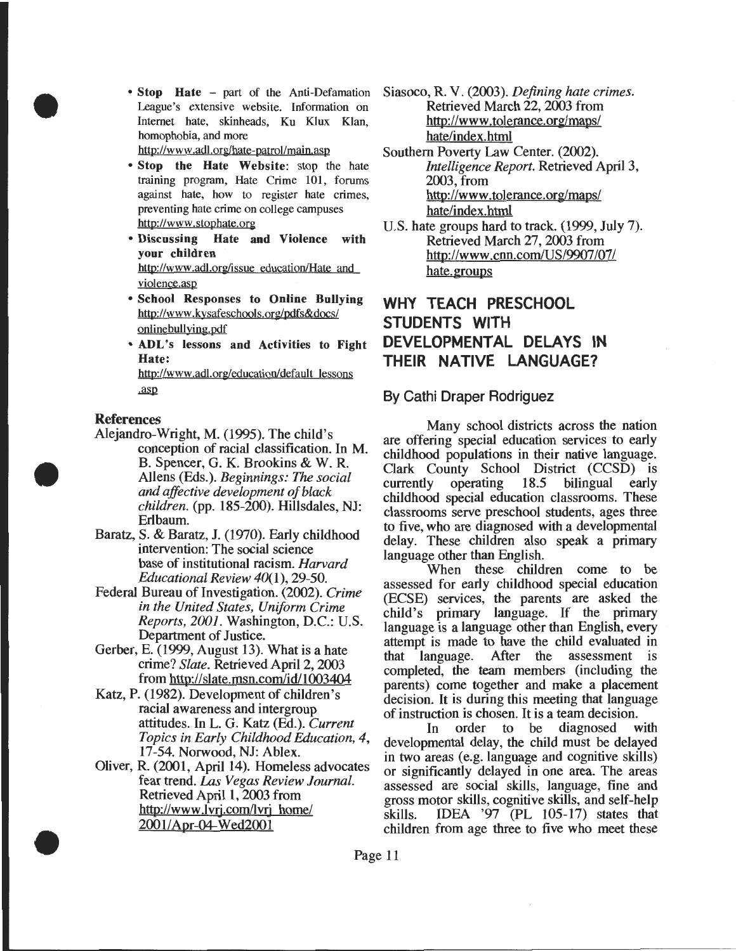• Stop Hate - part of the Anti-Defamation League's extensive website. Information on Internet hate, skinheads, Ku Klux Klan, homophobia, and more

http://www .adl.org/hate-patrol/main.asp

- Stop the Hate Website: stop the hate training program, Hate Crime 101, forums against hate, how to register hate crimes, preventing hate crime on college campuses http://www .stophate.org
- Discussing Hate and Violence with your children http://www.adl.org/issue education/Hate and violence.asp
- School Responses to Online Bullying http://www.kysafeschools.org/pdfs&docs/ online bullying. pdf
- ADL's lessons and Activities to Fight Hate:

http://www.adl.org/education/default lessons .asp

#### **References**

•

•

•

- Alejandro-Wright, M. (1995). The child's conception of racial classification. In M. B. Spencer, G. K. Brookins & W. R. Aliens (Eds.). *Beginnings: The social and affective development of black children.* (pp. 185-200). Hillsdales, NJ: Erlbaum.
- Baratz, S. & Baratz, J. (1970). Early childhood intervention: The social science base of institutional racism. *Harvard Educational Review 40(1),* 29-50.
- Federal Bureau of Investigation. (2002). *Crime in the United States, Uniform Crime Reports, 2001.* Washington, D.C.: U.S. Department of Justice.
- Gerber, E. (1999, August 13). What is a hate crime? *Slate.* Retrieved April 2, 2003 from http://slate.msn.com/id/1003404
- Katz, P. (1982). Development of children's racial awareness and intergroup attitudes. In L. G. Katz (Ed.). *Current Topics in Early Childhood Education, 4,*  17-54. Norwood, NJ: Ablex.
- Oliver, R. (2001, April 14). Homeless advocates fear trend. *Las Vegas Review Journal.*  Retrieved April 1, 2003 from http://www.lvrj.com/lvrj\_home/ 2001/Apr-04-Wed2001

Siasoco, R. V. (2003). *Defining hate crimes.*  Retrieved March 22, 2003 from http://www .tolerance.org/maps/ hate/index.html

Southern Poverty Law Center. (2002). *Intelligence Report.* Retrieved April 3, 2003, from http://www.tolerance.org/maps/ hate/index.html

U.S. hate groups hard to track. (1999, July 7). Retrieved March 27, 2003 from http://www.cnn.com/US/9907/07/ hate. groups

# **WHY TEACH PRESCHOOL STUDENTS WITH DEVELOPMENTAL DELAYS IN THEIR NATIVE LANGUAGE?**

#### By Cathi Draper Rodriguez

Many school districts across the nation are offering special education services to early childhood populations in their native language. Clark County School District (CCSD) is<br>currently operating 18.5 bilingual early currently operating 18.5 bilingual early childhood special education classrooms. These classrooms serve preschool students, ages three to five, who are diagnosed with a developmental delay. These children also speak a primary language other than English.

When these children come to be assessed for early childhood special education (ECSE) services, the parents are asked the child's primary language. If the primary language is a language other than English, every attempt is made to have the child evaluated in that language. After the assessment is that language. After the assessment is completed, the team members (including the parents) come together and make a placement decision. It is during this meeting that language of instruction is chosen. It is a team decision.<br>In order to be diagnosed with

In order to be diagnosed developmental delay, the child must be delayed in two areas (e.g. language and cogmtive skills) or significantly delayed in one area. The areas assessed are social skills, language, fine and gross motor skills, cognitive skills, and self-help skills. IDEA '97 (PL 105-17) states that children from age three to five who meet these

Page 11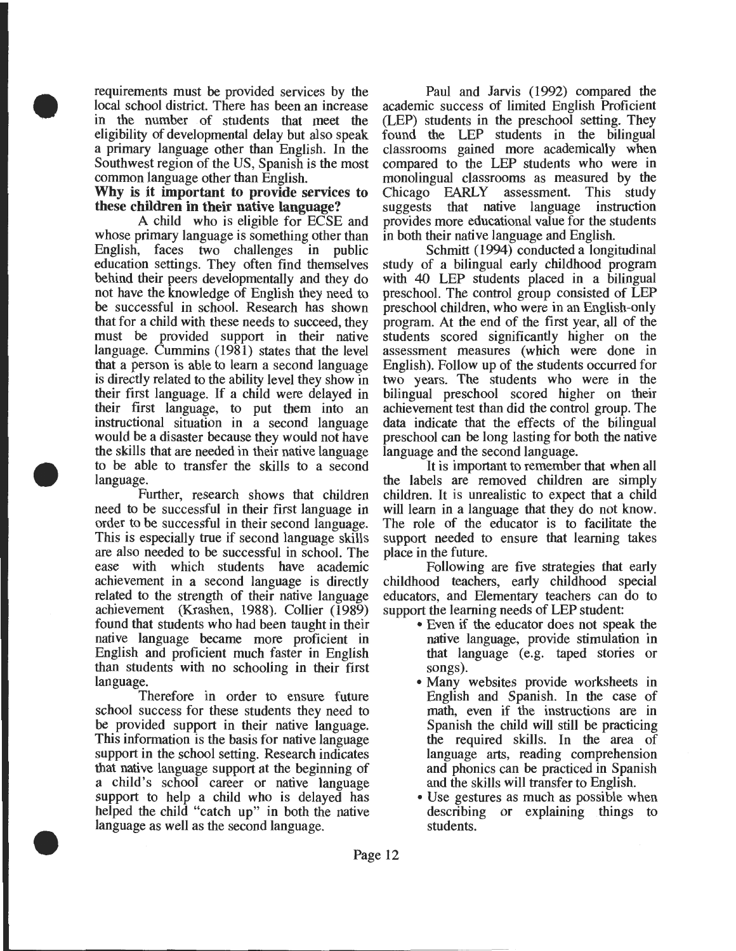requirements must be provided services by the local school district. There has been an increase in the number of students that meet the eligibility of developmental delay but also speak a primary language other than English. In the Southwest region of the US, Spanish is the most common language other than English.

•

•

•

Why is it important to provide services to these children in their native language?

A child who is eligible for ECSE and whose primary language is something other than English, faces two challenges in public education settings. They often find themselves behind their peers developmentally and they do not have the knowledge of English they need to be successful in school. Research has shown that for a child with these needs to succeed, they must be provided support in their native language. Cummins (1981) states that the level that a person is able to learn a second language is directly related to the ability level they show in their first language. If a child were delayed in their first language, to put them into an instructional situation in a second language would be a disaster because they would not have the skills that are needed in their native language to be able to transfer the skills to a second language.

Further, research shows that children need to be successful in their first language in order to be successful in their second language. This is especially true if second language skills are also needed to be successful in school. The ease with which students have academic achievement in a second language is directly related to the strength of their native language achievement (Krashen, 1988). Collier ( 1989) found that students who had been taught in their native language became more proficient in English and proficient much faster in English than students with no schooling in their first language.

Therefore in order to ensure future school success for these students they need to be provided support in their native language. This information is the basis for native language support in the school setting. Research indicates that native language support at the beginning of a child's school career or native language support to help a child who is delayed has helped the child "catch up" in both the native language as well as the second language.

Paul and Jarvis (1992) compared the academic success of limited English Proficient (LEP) students in the preschool setting. They found the LEP students in the bilingual classrooms gained more academically when compared to the LEP students who were in monolingual classrooms as measured by the Chicago EARLY assessment. This study suggests that native language instruction provides more educational value for the students in both their native language and English.

Schmitt (1994) conducted a longitudinal study of a bilingual early childhood program with 40 LEP students placed in a bilingual preschool. The control group consisted of LEP preschool children, who were in an English-only program. At the end of the first year, all of the students scored significantly higher on the assessment measures (which were done in English). Follow up of the students occurred for two years. The students who were in the bilingual preschool scored higher on their achievement test than did the control group. The data indicate that the effects of the bilingual preschool can be long lasting for both the native language and the second language.

It is important to remember that when all the labels are removed children are simply children. It is unrealistic to expect that a child will learn in a language that they do not know. The role of the educator is to facilitate the support needed to ensure that learning takes place in the future.

Following are five strategies that early childhood teachers, early childhood special educators, and Elementary teachers can do to support the learning needs of LEP student:

- Even if the educator does not speak the native language, provide stimulation in that language (e.g. taped stories or songs).
- Many websites provide worksheets in English and Spanish. In the case of math, even if the instructions are in Spanish the child will still be practicing the required skills. In the area of language arts, reading comprehension and phonics can be practiced in Spanish and the skills will transfer to English.
- Use gestures as much as possible when describing or explaining things to students.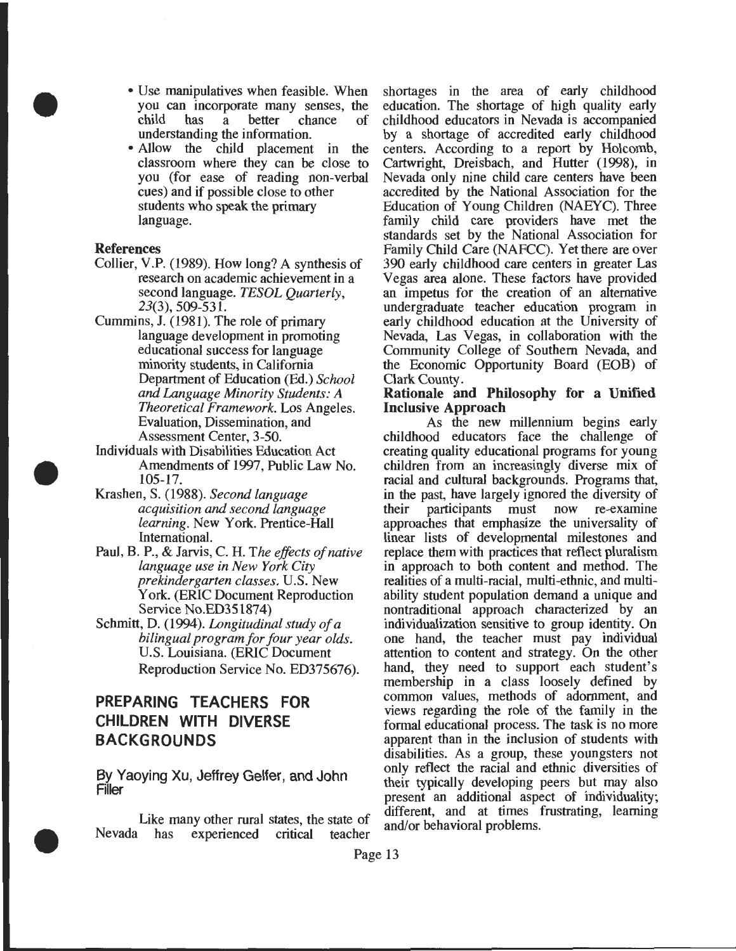- Use manipulatives when feasible. When you can incorporate many senses, the child has a better chance of understanding the information.
- Allow the child placement in the classroom where they can be close to you (for ease of reading non-verbal cues) and if possible close to other students who speak the primary language.

#### References

•

•

•

- Collier, V.P. (1989). How long? A synthesis of research on academic achievement in a second language. *TESOL Quarterly,*  23(3), 509-531.
- Cummins, J. (1981). The role of primary language development in promoting educational success for language minority students, in California Department of Education (Ed.) *School and Language Minority Students: A Theoretical Framework.* Los Angeles. Evaluation, Dissemination, and Assessment Center, 3-50.
- Individuals with Disabilities Education Act Amendments of 1997, Public Law No. 105-17.
- Krashen, S. (1988). *Second language acquisition and second language learning.* New York. Prentice-Hall International.
- Paul, B. P., & Jarvis, C. H. *The effects of native language use in New York City prekindergarten classes.* U.S. New York. (ERIC Document Reproduction Service No.ED351874)
- Schmitt, D. (1994). *Longitudinal study of a bilingual program for four year olds.*  U.S. Louisiana. (ERIC Document Reproduction Service No. ED375676).

# PREPARING TEACHERS FOR CHILDREN WITH DIVERSE BACKGROUNDS

By Yaoying Xu, Jeffrey Gelfer, and John **Filler** 

Like many other rural states, the state of<br>Nevada has experienced critical teacher has experienced critical teacher

shortages in the area of early childhood education. The shortage of high quality early childhood educators in Nevada is accompanied by a shortage of accredited early childhood centers. According to a report by Holcomb, Cartwright, Dreisbach, and Hutter (1998), in Nevada only nine child care centers have been accredited by the National Association for the Education of Young Children (NAEYC). Three family child care providers have met the standards set by the National Association for Family Child Care (NAFCC). Yet there are over 390 early childhood care centers in greater Las Vegas area alone. These factors have provided an impetus for the creation of an alternative undergraduate teacher education program in early childhood education at the University of Nevada, Las Vegas, in collaboration with the Community College of Southern Nevada, and the Economic Opportunity Board (BOB) of Clark County.

#### Rationale and Philosophy for a Unified Inclusive Approach

As the new millennium begins early childhood educators face the challenge of creating quality educational programs for young children from an increasingly diverse mix of racial and cultural backgrounds. Programs that, in the past, have largely ignored the diversity of<br>their participants must now re-examine their participants must approaches that emphasize the universality of linear lists of developmental milestones and replace them with practices that reflect pluralism in approach to both content and method. The realities of a multi-racial, multi-ethnic, and multiability student population demand a unique and nontraditional approach characterized by an individualization sensitive to group identity. On one hand, the teacher must pay individual attention to content and strategy. On the other hand, they need to support each student's membership in a class loosely defined by common values, methods of adornment, and views regarding the role of the family in the formal educational process. The task is no more apparent than in the inclusion of students with disabilities. As a group, these youngsters not only reflect the racial and ethnic diversities of their typically developing peers but may also present an additional aspect of individuality; different, and at times frustrating, learning and/or behavioral problems.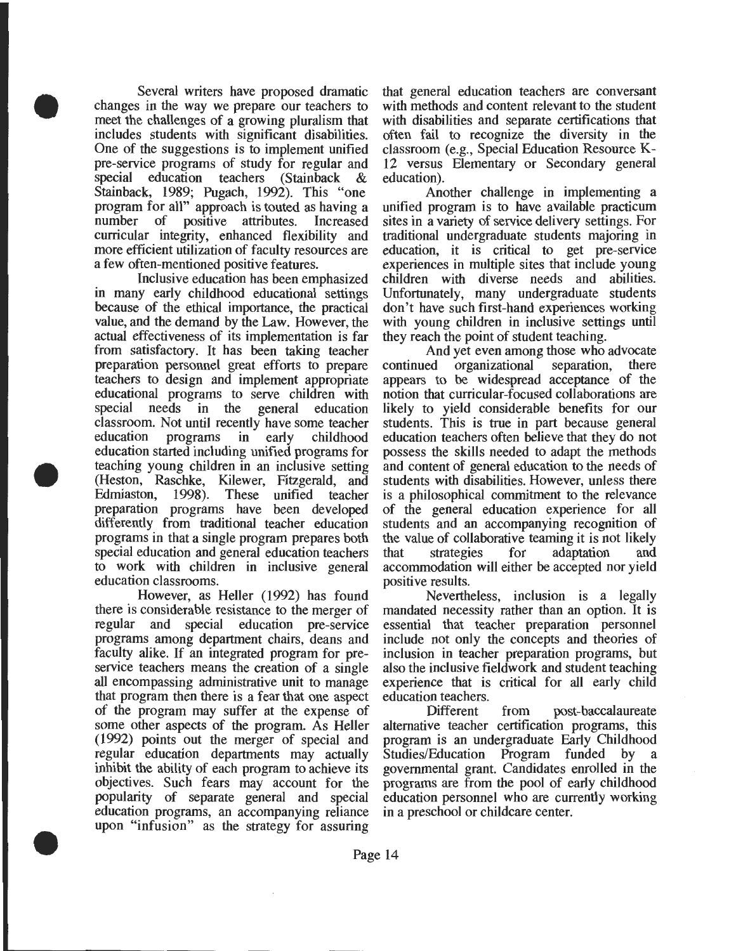Several writers have proposed dramatic changes in the way we prepare our teachers to meet the challenges of a growing pluralism that includes students with significant disabilities. One of the suggestions is to implement unified pre-service programs of study for regular and special education teachers (Stainback & Stainback, 1989; Pugach, 1992). This "one program for all" approach is touted as having a number of positive attributes. Increased curricular integrity, enhanced flexibility and more efficient utilization of faculty resources are a few often-mentioned positive features.

•

•

•

Inclusive education has been emphasized in many early childhood educational settings because of the ethical importance, the practical value, and the demand by the Law. However, the actual effectiveness of its implementation is far from satisfactory. It has been taking teacher preparation personnel great efforts to prepare teachers to design and implement appropriate educational programs to serve children with special needs in the general education classroom. Not until recently have some teacher education programs in early childhood education started including unified programs for teaching young children in an inclusive setting (Heston, Raschke, Kilewer, Fitzgerald, and Edmiaston, 1998). These unified teacher preparation programs have been developed differently from traditional teacher education programs in that a single program prepares both special education and general education teachers to work with children in inclusive general education classrooms.

However, as Heller (1992) has found there is considerable resistance to the merger of regular and special education pre-service programs among department chairs, deans and faculty alike. If an integrated program for preservice teachers means the creation of a single all encompassing administrative unit to manage that program then there is a fear that one aspect of the program may suffer at the expense of some other aspects of the program. As Heller (1992) points out the merger of special and regular education departments may actually inhibit the ability of each program to achieve its objectives. Such fears may account for the popularity of separate general and special education programs, an accompanying reliance upon "infusion" as the strategy for assuring

that general education teachers are conversant with methods and content relevant to the student with disabilities and separate certifications that often fail to recognize the diversity in the classroom (e.g., Special Education Resource K-12 versus Elementary or Secondary general education).

Another challenge in implementing a unified program is to have available practicum sites in a variety of service delivery settings. For traditional undergraduate students majoring in education, it is critical to get pre-service experiences in multiple sites that include young children with diverse needs and abilities. Unfortunately, many undergraduate students don't have such first-hand experiences working with young children in inclusive settings until they reach the point of student teaching.

And yet even among those who advocate continued organizational separation, there appears to be widespread acceptance of the notion that curricular-focused collaborations are likely to yield considerable benefits for our students. This is true in part because general education teachers often believe that they do not possess the skills needed to adapt the methods and content of general education to the needs of students with disabilities. However, unless there is a philosophical commitment to the relevance of the general education experience for all students and an accompanying recognition of the value of collaborative teaming it is not likely that strategies for adaptation and accommodation will either be accepted nor yield positive results.

Nevertheless, inclusion is a legally mandated necessity rather than an option. It is essential that teacher preparation personnel include not only the concepts and theories of inclusion in teacher preparation programs, but also the inclusive fieldwork and student teaching experience that is critical for all early child education teachers.

Different from post-baccalaureate alternative teacher certification programs, this program is an undergraduate Early Childhood Studies/Education Program funded by a governmental grant. Candidates enrolled in the programs are from the pool of early childhood education personnel who are currently working in a preschool or childcare center.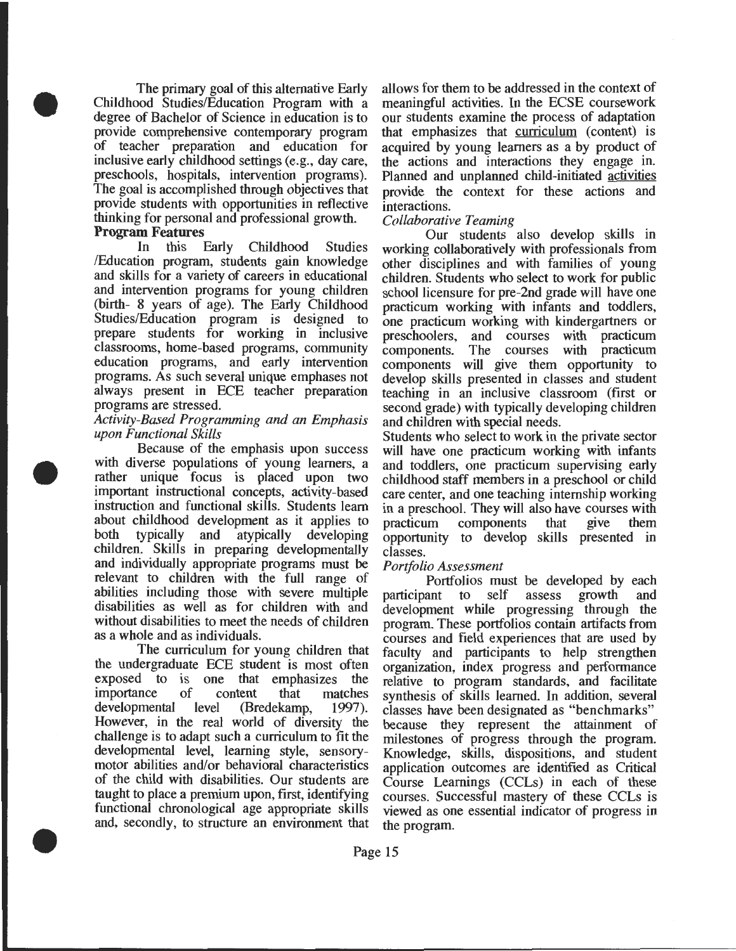The primary goal of this alternative Early Childhood Studies/Education Program with a degree of Bachelor of Science in education is to provide comprehensive contemporary program of teacher preparation and education for inclusive early childhood settings (e.g., day care, preschools, hospitals, intervention programs). The goal is accomplished through objectives that provide students with opportunities in reflective thinking for personal and professional growth.

•

•

•

**Program Features**<br>In this 1 In this Early Childhood Studies /Education program, students gain knowledge and skills for a variety of careers in educational and intervention programs for young children (birth- 8 years of age). The Early Childhood Studies/Education program is designed to prepare students for working in inclusive classrooms, home-based programs, community education programs, and early intervention programs. As such several unique emphases not always present in ECE teacher preparation programs are stressed.

#### *Activity-Based Programming and an Emphasis upon Functional Skills*

Because of the emphasis upon success with diverse populations of young learners, a rather unique focus is placed upon two important instructional concepts, activity-based instruction and functional skills. Students learn about childhood development as it applies to<br>both typically and atypically developing atypically developing children. Skills in preparing developmentally and individually appropriate programs must be relevant to children with the full range of abilities including those with severe multiple disabilities as well as for children with and without disabilities to meet the needs of children as a whole and as individuals.

The curriculum for young children that the undergraduate ECE student is most often exposed to is one that emphasizes the<br>importance of content that matches importance of content of content of content material material material material material material of the material material of the material of the material of the material material material material material of the material developmental level (Bredekamp, 1997). However, in the real world of diversity the challenge is to adapt such a curriculum to fit the developmental level, learning style, sensorymotor abilities and/or behavioral characteristics of the child with disabilities. Our students are taught to place a premium upon, first, identifying functional chronological age appropriate skills and, secondly, to structure an environment that

allows for them to be addressed in the context of meaningful activities. In the ECSE coursework our students examine the process of adaptation that emphasizes that curriculum (content) is acquired by young learners as a by product of the actions and interactions they engage m. Planned and unplanned child-initiated activities provide the context for these actions and interactions.

#### *Collaborative Teaming*

Our students also develop skills in working collaboratively with professionals from other disciplines and with families of young children. Students who select to work for public school licensure for pre-2nd grade will have one practicum working with infants and toddlers, one practicum working with kindergartners or preschoolers, and courses with practicum<br>components. The courses with practicum The courses with practicum components will give them opportunity to develop skills presented in classes and student teaching in an inclusive classroom (first or second grade) with typically developing children and children with special needs.

Students who select to work in the private sector will have one practicum working with infants and toddlers, one practicum supervising early childhood staff members in a preschool or child care center, and one teaching internship working in a preschool. They will also have courses with practicum components that give them practicum components opportunity to develop skills presented in classes.

#### *Portfolio Assessment*

Portfolios must be developed by each<br>ant to self assess growth and participant to self development while progressing through the program. These portfolios contain artifacts from courses and field experiences that are used by faculty and participants to help strengthen organization, index progress and performance relative to program standards, and facilitate synthesis of skills learned. In addition, several classes have been designated as "benchmarks" because they represent the attainment of milestones of progress through the program. Knowledge, skills, dispositions, and student application outcomes are identified as Critical Course Learnings (CCLs) in each of these courses. Successful mastery of these CCLs is viewed as one essential indicator of progress in the program.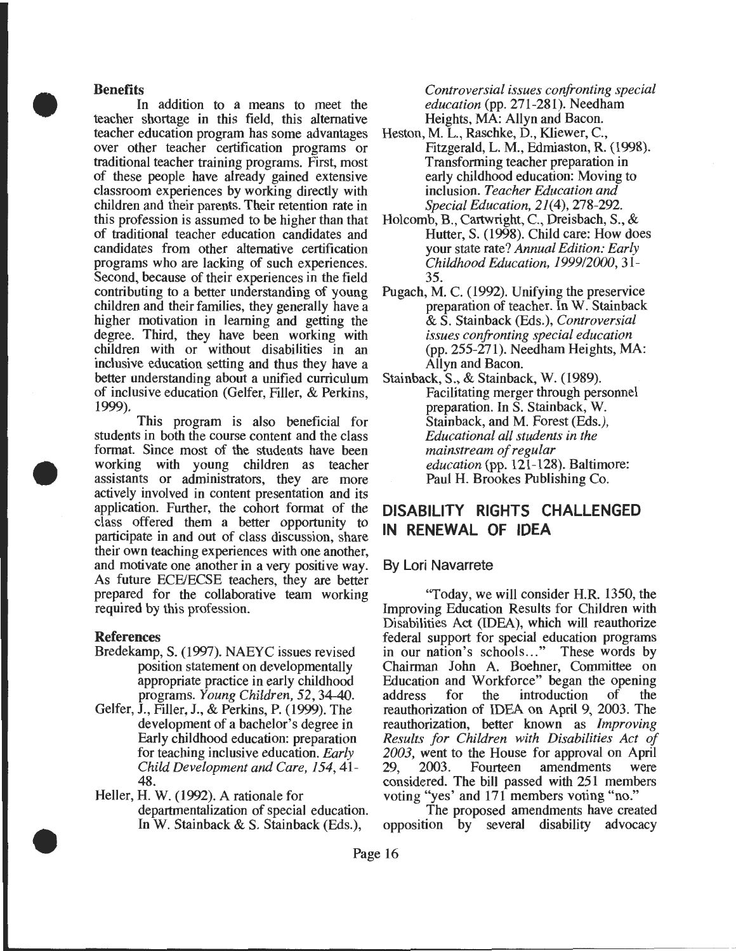#### **Benefits**

•

•

•

In addition to a means to meet the teacher shortage in this field, this alternative teacher education program has some advantages over other teacher certification programs or traditional teacher training programs. First, most of these people have already gained extensive classroom experiences by working directly with children and their parents. Their retention rate in this profession is assumed to be higher than that of traditional teacher education candidates and candidates from other alternative certification programs who are lacking of such experiences. Second, because of their experiences in the field contributing to a better understanding of young children and their families, they generally have a higher motivation in learning and getting the degree. Third, they have been working with children with or without disabilities in an inclusive education setting and thus they have a better understanding about a unified curriculum of inclusive education (Gelfer, Filler, & Perkins, 1999).

This program is also beneficial for students in both the course content and the class format. Since most of the students have been working with young children as teacher assistants or administrators, they are more actively involved in content presentation and its application. Further, the cohort format of the class offered them a better opportunity to participate in and out of class discussion, share their own teaching experiences with one another, and motivate one another in a very positive way. As future ECE/ECSE teachers, they are better prepared for the collaborative team working required by this profession.

#### **References**

- Bredekamp, S. (1997). NAEYC issues revised position statement on developmentally appropriate practice in early childhood programs. *Young Children,* 52, 34-40.
- Gelfer, J., Filler, J., & Perkins, P. (1999). The development of a bachelor's degree in Early childhood education: preparation for teaching inclusive education. *Early Child Development and Care, 154,* 41- 48.

Heller, H. W. (1992). A rationale for departmentalization of special education. In W. Stainback & S. Stainback (Eds.),

*Controversial issues confronting special education* (pp. 271-281). Needham Heights, MA: Allyn and Bacon.

- Heston, M. L., Raschke, D., Kliewer, C., Fitzgerald, L. M., Edmiaston, R. (1998). Transforming teacher preparation in early childhood education: Moving to inclusion. *Teacher Education and Special Education, 21(4),* 278-292.
- Holcomb, B., Cartwright, C., Dreisbach, S., & Hutter, S. (1998). Child care: How does your state rate? *Annual Edition: Early Childhood Education, 199912000,* 31- 35.
- Pugach, M. C. (1992). Unifying the preservice preparation of teacher. In W. Stainback & S. Stainback (Eds.), *Controversial issues confronting special education*  (pp. 255-271). Needham Heights, MA: Allyn and Bacon.
- Stainback, S., & Stainback, W. (1989). Facilitating merger through personnel preparation. In S. Stainback, W. Stainback, and M. Forest (Eds.), *Educational all students in the mainstream of regular education* (pp. 121-128). Baltimore: Paul H. Brookes Publishing Co.

## **DISABILITY RIGHTS CHALLENGED IN RENEWAL OF IDEA**

#### By Lori Navarrete

"Today, we will consider H.R. 1350, the Improving Education Results for Children with Disabilities Act (IDEA), which will reauthorize federal support for special education programs in our nation's schools..." These words by Chairman John A. Boehner, Committee on Education and Workforce" began the opening<br>address for the introduction of the for the introduction of the reauthorization of IDEA on April 9, 2003. The reauthorization, better known as *Improving Results for Children with Disabilities Act of 2003,* went to the House for approval on April amendments were considered. The bill passed with 251 members voting "yes' and 171 members voting "no."

The proposed amendments have created opposition by several disability advocacy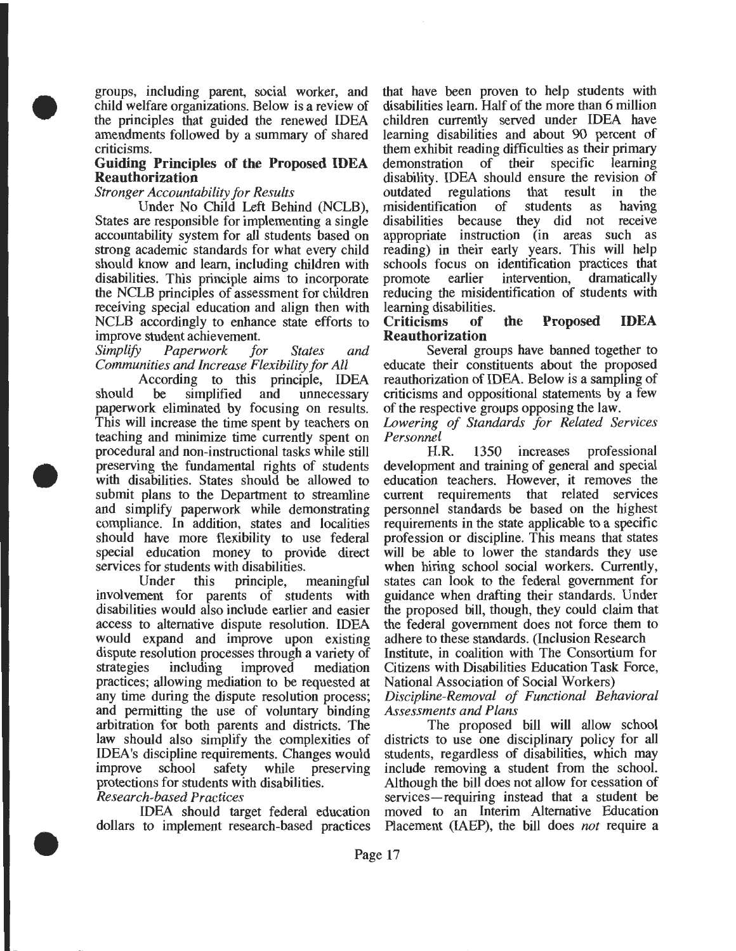groups, including parent, social worker, and child welfare organizations. Below is a review of the principles that guided the renewed IDEA amendments followed by a summary of shared criticisms.

#### **Guiding Principles of the Proposed IDEA Reauthorization**

#### *Stronger Accountability for Results*

•

•

•

Under No Child Left Behind (NCLB), States are responsible for implementing a single accountability system for all students based on strong academic standards for what every child should know and learn, including children with disabilities. This principle aims to incorporate the NCLB principles of assessment for children receiving special education and align then with NCLB accordingly to enhance state efforts to improve student achievement.

*Simplify Paperwork for States and Communities and Increase Flexibility for All* 

According to this principle, IDEA should be simplified and unnecessary paperwork eliminated by focusing on results. This will increase the time spent by teachers on teaching and minimize time currently spent on procedural and non-instructional tasks while still preserving the fundamental rights of students with disabilities. States should be allowed to submit plans to the Department to streamline and simplify paperwork while demonstrating compliance. In addition, states and localities should have more flexibility to use federal special education money to provide direct services for students with disabilities.

Under this principle, meaningful involvement for parents of students with disabilities would also include earlier and easier access to alternative dispute resolution. IDEA would expand and improve upon existing dispute resolution processes through a variety of strategies including improved mediation strategies including improved practices; allowing mediation to be requested at any time during the dispute resolution process; and permitting the use of voluntary binding arbitration for both parents and districts. The law should also simplify the complexities of IDEA's discipline requirements. Changes would improve school safety while preserving protections for students with disabilities.

#### *Research-based Practices*

IDEA should target federal education dollars to implement research-based practices

that have been proven to help students with disabilities learn. Half of the more than 6 million children currently served under IDEA have learning disabilities and about 90 percent of them exhibit reading difficulties as their primary<br>demonstration of their specific learning demonstration of their specific disability. IDEA should ensure the revision of outdated regulations that result in the outdated regulations that result in the<br>misidentification of students as having misidentification disabilities because they did not receive appropriate instruction (in areas such as reading) in their early years. This will help schools focus on identification practices that<br>promote earlier intervention, dramatically promote earlier reducing the misidentification of students with

#### learning disabilities.<br>Criticisms of **Criticisms of the Proposed IDEA Reauthorization**

Several groups have banned together to educate their constituents about the proposed reauthorization of IDEA. Below is a sampling of criticisms and oppositional statements by a few of the respective groups opposing the law.

*Lowering of Standards for Related Services Personnel* 

H.R. 1350 increases professional development and training of general and special education teachers. However, it removes the current requirements that related services personnel standards be based on the highest requirements in the state applicable to a specific profession or discipline. This means that states will be able to lower the standards they use when hiring school social workers. Currently, states can look to the federal government for guidance when drafting their standards. Under the proposed bill, though, they could claim that the federal government does not force them to adhere to these standards. (Inclusion Research Institute, in coalition with The Consortium for Citizens with Disabilities Education Task Force, National Association of Social Workers)

#### *Discipline-Removal of Functional Behavioral Assessments and Plans*

The proposed bill will allow school districts to use one disciplinary policy for all students, regardless of disabilities, which may include removing a student from the school. Although the bill does not allow for cessation of services—requiring instead that a student be moved to an Interim Alternative Education Placement (IAEP), the bill does *not* require a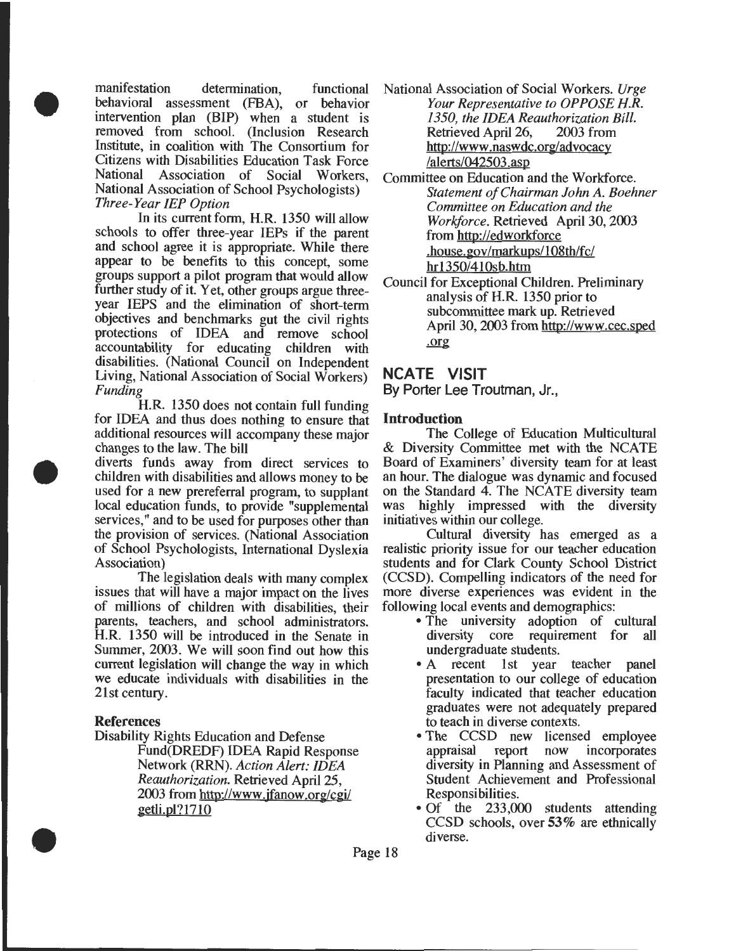manifestation determination, functional behavioral assessment (FBA), or behavior intervention plan (BIP) when a student is removed from school. (Inclusion Research Institute, in coalition with The Consortium for Citizens with Disabilities Education Task Force National Association of Social Workers, National Association of School Psychologists) *Three-Year IEP Option* 

•

•

•

In its current form, H.R. 1350 will allow schools to offer three-year IEPs if the parent and school agree it is appropriate. While there appear to be benefits to this concept, some groups support a pilot program that would allow further study of it. Yet, other groups argue threeyear IEPS and the elimination of short-term objectives and benchmarks gut the civil rights protections of IDEA and remove school accountability for educating children with disabilities. (National Council on Independent Living, National Association of Social Workers) *Funding* 

H.R. 1350 does not contain full funding for IDEA and thus does nothing to ensure that additional resources will accompany these major changes to the law. The bill

diverts funds away from direct services to children with disabilities and allows money to be used for a new prereferral program, to supplant local education funds, to provide "supplemental services," and to be used for purposes other than the provision of services. (National Association of School Psychologists, International Dyslexia Association)

The legislation deals with many complex issues that will have a major impact on the lives of millions of children with disabilities, their parents, teachers, and school administrators. H.R. 1350 will be introduced in the Senate in Summer, 2003. We will soon find out how this current legislation will change the way in which we educate individuals with disabilities in the 21st century.

#### References

Disability Rights Education and Defense Fund(DREDF) IDEA Rapid Response Network (RRN). *Action Alert: IDEA Reauthorization.* Retrieved April 25, 2003 from http://www.jfanow.org/cgi/ getli.pl ?1710

- National Association of Social Workers. *Urge Your Representative to OPPOSE H.R. 1350, the IDEA Reauthorization Bill.*  Retrieved April 26, http://www .naswdc.org/advocacy /alerts/042503.asp
- Committee on Education and the Workforce. *Statement of Chairman John A. Boehner Committee on Education and the Workforce.* Retrieved April 30, 2003 from http://edworkforce .house.gov/markups/108th/fc/ hr 1350/41 Osb.htm
- Council for Exceptional Children. Preliminary analysis of H.R. 1350 prior to subcommittee mark up. Retrieved April 30, 2003 from http://www .cec.sped .org

## **NCATE** VISIT

By Porter Lee Troutman, Jr.,

#### Introduction

The College of Education Multicultural & Diversity Committee met with the NCATE Board of Examiners' diversity team for at least an hour. The dialogue was dynamic and focused on the Standard 4. The NCATE diversity team was highly impressed with the diversity initiatives within our college.

Cultural diversity has emerged as a realistic priority issue for our teacher education students and for Oark County School District (CCSD). Compelling indicators of the need for more diverse experiences was evident in the following local events and demographics:

- The university adoption of cultural diversity core requirement for all core requirement for all undergraduate students.
- A recent 1st year teacher panel presentation to our college of education faculty indicated that teacher education graduates were not adequately prepared to teach in diverse contexts.
- The CCSD new licensed employee appraisal report now incorporates diversity in Planning and Assessment of Student Achievement and Professional Responsibilities.
- Of the 233,000 students attending CCSD schools, over 53% are ethnically diverse.

Page 18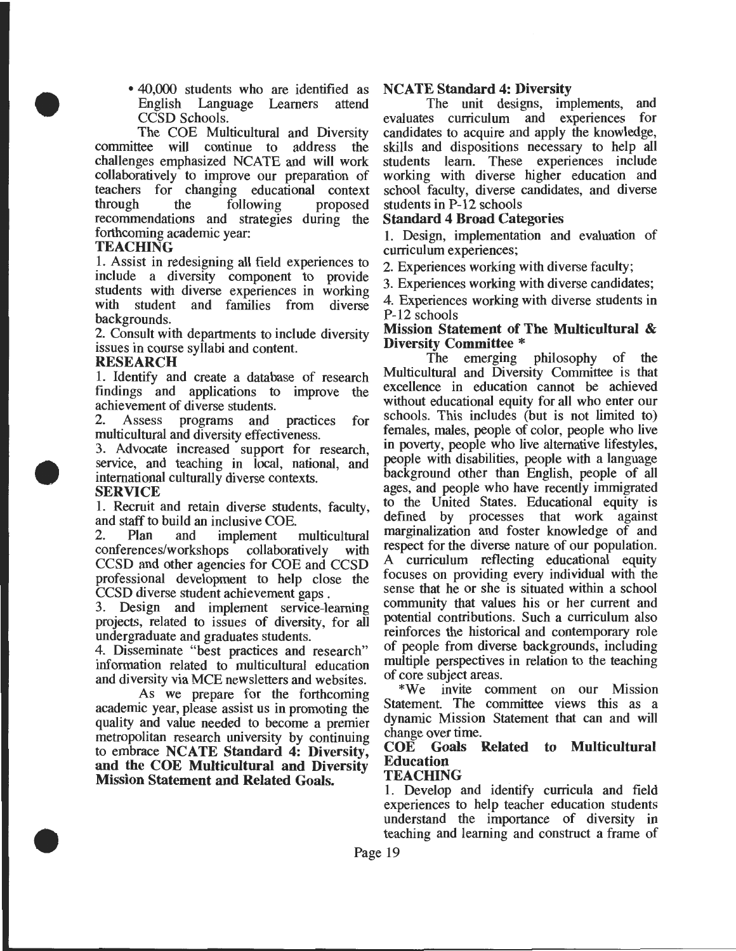• 40,000 students who are identified as Language Learners attend CCSD Schools.

The COE Multicultural and Diversity committee will continue to address the challenges emphasized NCATE and will work collaboratively to improve our preparation of teachers for changing educational context<br>through the following proposed following recommendations and strategies during the forthcoming academic year:

#### TEACHING

•

\_l. Assist in redesigning all field experiences to include a diversity component to provide students with diverse experiences in working<br>with student and families from diverse with student and families from backgrounds.

2. Consult with departments to include diversity issues in course syllabi and content.

#### RESEARCH

1. Identify and create a database of research findings and applications to improve the achievement of diverse students.

2. Assess programs and practices for multicultural and diversity effectiveness.

3. Advocate increased support for research, service, and teaching in local, national, and international culturally diverse contexts.

#### SERVICE

•

•

1. Recruit and retain diverse students, faculty, and staff to build an inclusive COE.

2. Plan and implement multicultural conferences/workshops collaboratively with CCSD and other agencies for COE and CCSD professional development to help close the CCSD diverse student achievement gaps.

3. Design and implement service-learning projects, related to issues of diversity, for all undergraduate and graduates students.

4. Disseminate "best practices and research" information related to multicultural education and diversity via MCE newsletters and websites.

As we prepare for the forthcoming academic year, please assist us in promoting the quality and value needed to become a premier metropolitan research university by continuing to embrace NCATE Standard 4: Diversity, and the COE Multicultural and Diversity Mission Statement and Related Goals.

#### NCATE Standard 4: Diversity

The unit designs, implements, and evaluates curriculum and experiences for candidates to acquire and apply the knowledge, skills and dispositions necessary to help all students learn. These experiences include working with diverse higher education and school faculty, diverse candidates, and diverse students in P-12 schools

#### Standard 4 Broad Categories

1. Design, implementation and evaluation of curriculum experiences;

2. Experiences working with diverse faculty;

3. Experiences working with diverse candidates;

4. Experiences working with diverse students in P-12 schools

#### Mission Statement of The Multicultural & Diversity Committee \*

The emerging philosophy of the Multicultural and Diversity Committee is that excellence in education cannot be achieved without educational equity for all who enter our schools. This includes (but is not limited to) females, males, people of color, people who live in poverty, people who live alternative lifestyles, people with disabilities, people with a language background other than English, people of all ages, and people who have recently immigrated to the United States. Educational equity is defined by processes that work against marginalization and foster knowledge of and respect for the diverse nature of our population. A curriculum reflecting educational equity focuses on providing every individual with the sense that he or she is situated within a school community that values his or her current and potential contributions. Such a curriculum also reinforces the historical and contemporary role of people from diverse backgrounds, including multiple perspectives in relation to the teaching of core subject areas.

\*We invite comment on our Mission Statement. The committee views this as a dynamic Mission Statement that can and will

#### change over time.<br>COE Goals Related to Multicultural Education

#### TEACHING

1. Develop and identify curricula and field experiences to help teacher education students understand the importance of diversity in teaching and learning and construct a frame of

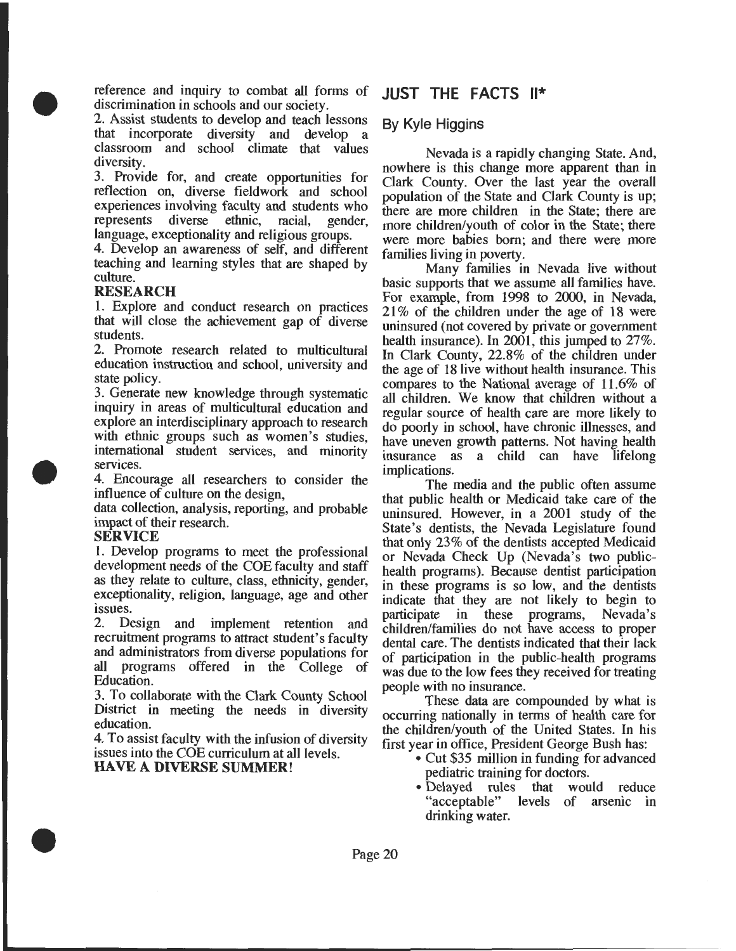reference and inquiry to combat all forms of discrimination in schools and our society.

2. Assist students to develop and teach lessons that incorporate diversity and develop a classroom and school climate that values diversity.

3. Provide for, and create opportunities for reflection on, diverse fieldwork and school experiences involving faculty and students who<br>represents diverse ethnic, racial, gender, ethnic, racial, gender, language, exceptionality and religious groups.

4. Develop an awareness of self, and different teaching and learning styles that are shaped by culture.

#### RESEARCH

•

•

•

1. Explore and conduct research on practices that will close the achievement gap of diverse students.

2. Promote research related to multicultural education instruction and school, university and state policy. .

3. Generate new knowledge through systematic inquiry in areas of multicultural education and explore an interdisciplinary approach to research with ethnic groups such as women's studies, international student services, and minority services.

4. Encourage all researchers to consider the influence of culture on the design,

data collection, analysis, reporting, and probable impact of their research.

#### SERVICE

1. Develop programs to meet the professional development needs of the COE faculty and staff as they relate to culture, class, ethnicity, gender, exceptionality, religion, language, age and other issues.<br>2. De

Design and implement retention and recruitment programs to attract student's faculty and administrators from diverse populations for programs offered in the College of Education.

3. To collaborate with the Oark County School District in meeting the needs in diversity education.

4. To assist faculty with the infusion of diversity issues into the COE curriculum at all levels. HAVE A DIVERSE SUMMER!

## **JUST THE FACTS** II\*

### By Kyle Higgins

Nevada is a rapidly changing State. And, nowhere is this change more apparent than in Clark County. Over the last year the overall population of the State and Clark County is up; there are more children in the State; there are more children/youth of color in the State; there were more babies born; and there were more families living in poverty.

Many families in Nevada live without. basic supports that we assume all families have. For example, from 1998 to 2000, in Nevada, 21% of the children under the age of 18 were uninsured (not covered by private or government health insurance). In 2001, this jumped to 27%. In Clark County,  $22.8\%$  of the children under the age of 18 live without health insurance. This compares to the National average of  $11.6\%$  of all children. We know that children wtthout a regular source of health care are more likely to do poorly in school, have chrome Illnesses, and have uneven growth patterns. Not having health insurance as a child can have lifelong implications.

The media and the public often assume that public health or Medicaid take care of the uninsured. However, in a 2001 study of the State's dentists, the Nevada Legislature found that only 23% df the dentists accepted Medicaid or Nevada Check Up (Nevada's two publichealth programs). Because dentist participation in these programs is so low, and the dentists indicate that they are not likely to begin to participate in these programs, Nevada's participate in these programs, Nevada's children/families do not have access to proper dental care. The dentists indicated that their lack of participation in the public-health programs was due to the low fees they received for treating people with no insurance.

These data are compounded by what is occurring nationally in terms of health care for the children/youth of the United States. In his first year in office, President George Bush has:

- Cut \$35 million in funding for advanced pediatric training for doctors.
- Delayed rules that would reduce "acceptable" levels of arsenic in drinking water.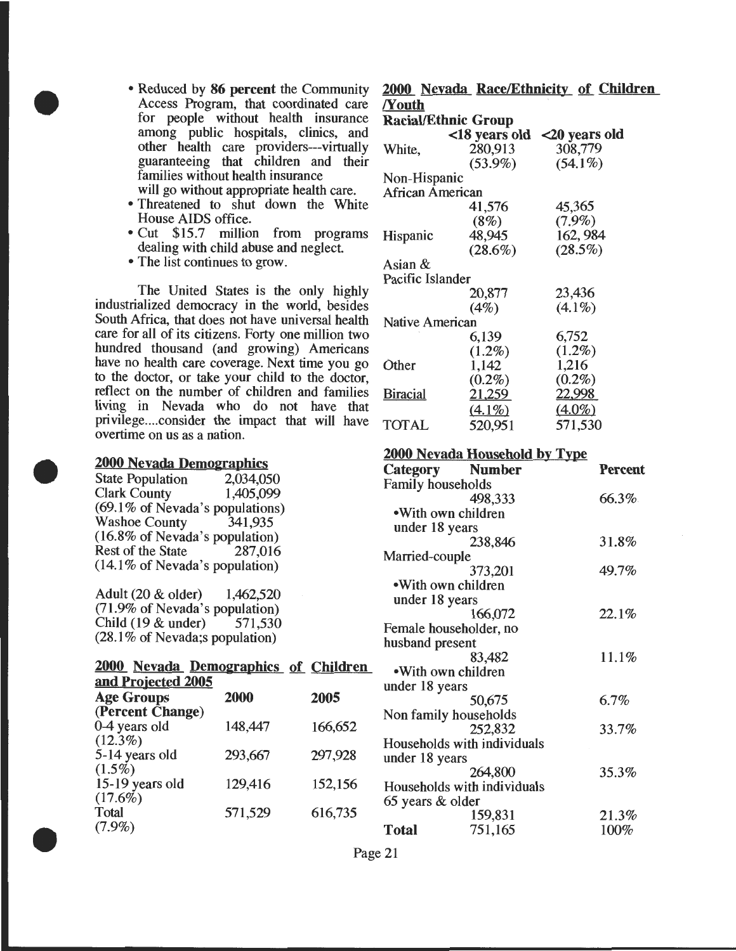- Reduced by 86 percent the Community Access Program, that coordinated care for people without health insurance among public hospitals, clinics, and other health care providers---virtually guaranteeing that children and their families without health insurance will go without appropriate health care.
- Threatened to shut down the White House AIDS office.
- Cut \$15.7 million from programs dealing with child abuse and neglect.
- The list continues to grow.

•

•

•

The United States is the only highly industrialized democracy in the world, besides South Africa, that does not have universal health care for all of its citizens. Forty one million two hundred thousand (and growing) Americans have no health care coverage. Next time you go to the doctor, or take your child to the doctor, reflect on the number of children and families living in Nevada who do not have that privilege .... consider the impact that will have overtime on us as a nation.

#### 2000 Nevada Demographics

State Population 2,034,050<br>Clark County 1,405,099 Clark County  $(69.1\% \text{ of Nevada's populations})$ <br>Washoe County 341,935 Washoe County (16.8% of Nevada's population) Rest of the State (14.1% of Nevada's population)

Adult (20 & older) 1,462,520  $(71.9\% \text{ of Nevada's population})$ <br>Child  $(19 \& under)$  571,530 Child  $(19 \& \text{under})$ (28.1% of Nevada;s population)

#### 2000 Nevada Demographics of Children and Projected 2005

| <b>Age Groups</b><br>(Percent Change) | 2000    | 2005    |
|---------------------------------------|---------|---------|
| 0-4 years old                         | 148,447 | 166,652 |
| $(12.3\%)$<br>5-14 years old          | 293,667 | 297,928 |
| $(1.5\%)$<br>15-19 years old          | 129,416 | 152,156 |
| $(17.6\%)$<br>Total                   | 571,529 | 616,735 |
| $(7.9\%)$                             |         |         |

#### 2000 Nevada Race/Ethnicity of Children /Youth

| <b>Racial/Ethnic Group</b>                      |            |            |  |  |  |
|-------------------------------------------------|------------|------------|--|--|--|
| <18 years old<br>$\langle 20 \rangle$ years old |            |            |  |  |  |
| White,                                          | 280,913    | 308,779    |  |  |  |
|                                                 | $(53.9\%)$ | $(54.1\%)$ |  |  |  |
| Non-Hispanic                                    |            |            |  |  |  |
| African American                                |            |            |  |  |  |
|                                                 | 41,576     | 45,365     |  |  |  |
|                                                 | $(8\%)$    | $(7.9\%)$  |  |  |  |
| Hispanic                                        | 48,945     | 162, 984   |  |  |  |
|                                                 | $(28.6\%)$ | $(28.5\%)$ |  |  |  |
| Asian &                                         |            |            |  |  |  |
| Pacific Islander                                |            |            |  |  |  |
|                                                 | 20,877     | 23,436     |  |  |  |
|                                                 | (4%)       | $(4.1\%)$  |  |  |  |
| <b>Native American</b>                          |            |            |  |  |  |
|                                                 | 6,139      | 6,752      |  |  |  |
|                                                 | $(1.2\%)$  | $(1.2\%)$  |  |  |  |
| Other                                           | 1,142      | 1,216      |  |  |  |
|                                                 | $(0.2\%)$  | $(0.2\%)$  |  |  |  |
| <u>Biracial</u>                                 | 21,259     | 22,998     |  |  |  |
|                                                 | $(4.1\%)$  | $(4.0\%)$  |  |  |  |
| TOTAL                                           | 520,951    | 571,530    |  |  |  |

### 2000 Nevada Household by Type

|                         | Category                    | <b>Number</b> | <b>Percent</b> |  |
|-------------------------|-----------------------------|---------------|----------------|--|
|                         | <b>Family households</b>    |               |                |  |
|                         |                             | 498,333       | 66.3%          |  |
|                         | ·With own children          |               |                |  |
|                         | under 18 years              |               |                |  |
|                         |                             | 238,846       | 31.8%          |  |
|                         | Married-couple              |               |                |  |
|                         |                             | 373,201       | 49.7%          |  |
|                         | .With own children          |               |                |  |
|                         | under 18 years              |               |                |  |
|                         |                             | 166,072       | 22.1%          |  |
|                         | Female householder, no      |               |                |  |
|                         | husband present             |               |                |  |
|                         |                             | 83,482        | 11.1%          |  |
| n<br>·With own children |                             |               |                |  |
|                         | under 18 years              |               |                |  |
|                         |                             | 50,675        | 6.7%           |  |
|                         | Non family households       |               |                |  |
|                         |                             | 252,832       | 33.7%          |  |
|                         | Households with individuals |               |                |  |
| under 18 years          |                             |               |                |  |
|                         | Households with individuals | 264,800       | 35.3%          |  |
|                         |                             |               |                |  |
|                         | 65 years & older            |               |                |  |
|                         |                             | 159,831       | 21.3%          |  |
|                         | <b>Total</b>                | 751,165       | 100%           |  |

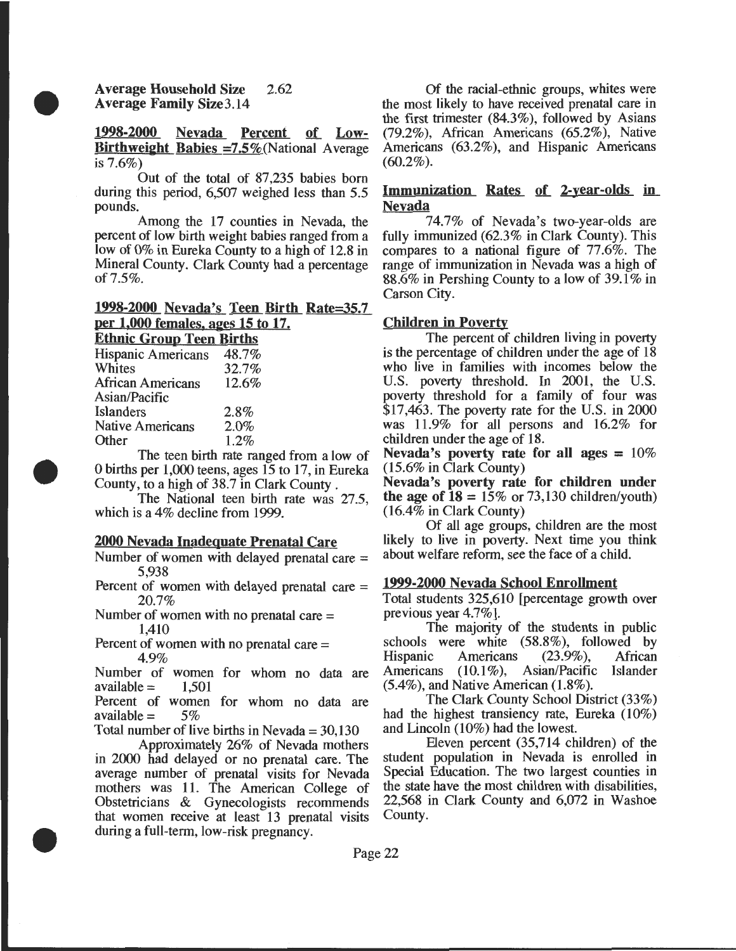Average Household Size 2.62 Average Family Size3.14

•

•

•

1998-2000 Nevada Percent of Low-Birthweight Babies  $=7.5\%$ (National Average is  $7.6\%$ )

Out of the total of 87,235 babies born during this period, 6,507 weighed less than 5.5 pounds.

Among the 17 counties in Nevada, the percent of low birth weight babies ranged from a low of 0% in Eureka County to a high of 12.8 in Mineral County. Clark County had a percentage of 7.5%.

## 1998-2000 Nevada's Teen Birth Rate=35.7 per 1,000 females, ages 15 to 17.

Ethnic Group Teen Births

| Hispanic Americans       | 48.7%   |
|--------------------------|---------|
| Whites                   | 32.7%   |
| <b>African Americans</b> | 12.6%   |
| Asian/Pacific            |         |
| <b>Islanders</b>         | 2.8%    |
| <b>Native Americans</b>  | 2.0%    |
| Other                    | $1.2\%$ |

The teen birth rate ranged from a low of 0 births per 1,000 teens, ages 15 to 17, in Eureka County, to a high of 38.7 in Clark County.

The National teen birth rate was 27.5, which is a 4% decline from 1999.

#### 2000 Nevada Inadequate Prenatal Care

Number of women with delayed prenatal care  $=$ 5,938

Percent of women with delayed prenatal care = 20.7%

Number of women with no prenatal care = 1,410

Percent of women with no prenatal care = 4.9%

Number of women for whom no data are<br>available =  $1,501$ available  $=$ 

Percent of women for whom no data are<br>available =  $5\%$ available  $=$ 

Total number of live births in Nevada = 30,130

Approximately 26% of Nevada mothers in 2000 had delayed or no prenatal care. The average number of prenatal visits for Nevada mothers was 11. The American College of Obstetricians & Gynecologists recommends that women receive at least 13 prenatal visits during a full-term, low-risk pregnancy.

Of the racial-ethnic groups, whites were the most likely to have received prenatal care in the first trimester  $(84.3\%)$ , followed by Asians  $(79.2\%)$ , African Americans  $(65.2\%)$ , Native Americans (63.2%), and Hispanic Americans  $(60.2\%)$ .

#### Immunization Rates of 2-year-olds in Nevada

74.7% of Nevada's two-year-olds are fully immunized (62.3% in Clark County). This compares to a national figure of 77.6%. The range of immunization in Nevada was a high of 88.6% in Pershing County to a low of 39.1% in Carson City.

### Children in Poverty

The percent of children living in poverty is the percentage of children under the age of 18 who live in families with incomes below the U.S. poverty threshold. In 2001, the U.S. poverty threshold for a family of four was \$17,463. The poverty rate for the U.S. in 2000 was 11.9% for all persons and 16.2% for children under the age of 18.

Nevada's poverty rate for all ages  $= 10\%$ (15.6% in Clark County)

Nevada's poverty rate for children under the age of  $18 = 15\%$  or 73,130 children/youth) (16.4% in Clark County)

Of all age groups, children are the most likely to live in poverty. Next time you think about welfare reform, see the face of a child.

#### 1999-2000 Nevada School Enrollment

Total students 325,610 [percentage growth over previous year 4.7%].

The majority of the students in public schools were white  $(58.8\%)$ , followed by<br>Hispanic Americans  $(23.9\%)$ . African Hispanic Americans (23.9%), African<br>Americans (10.1%), Asian/Pacific Islander  $(10.1\%)$ , Asian/Pacific  $(5.4\%)$ , and Native American  $(1.8\%)$ .

The Clark County School District (33%) had the highest transiency rate, Eureka (10%) and Lincoln (10%) had the lowest.

Eleven percent (35,714 children) of the student population in Nevada is enrolled in Special Education. The two largest counties in the state have the most children with disabilities, 22,568 in Clark County and 6,072 in Washoe County.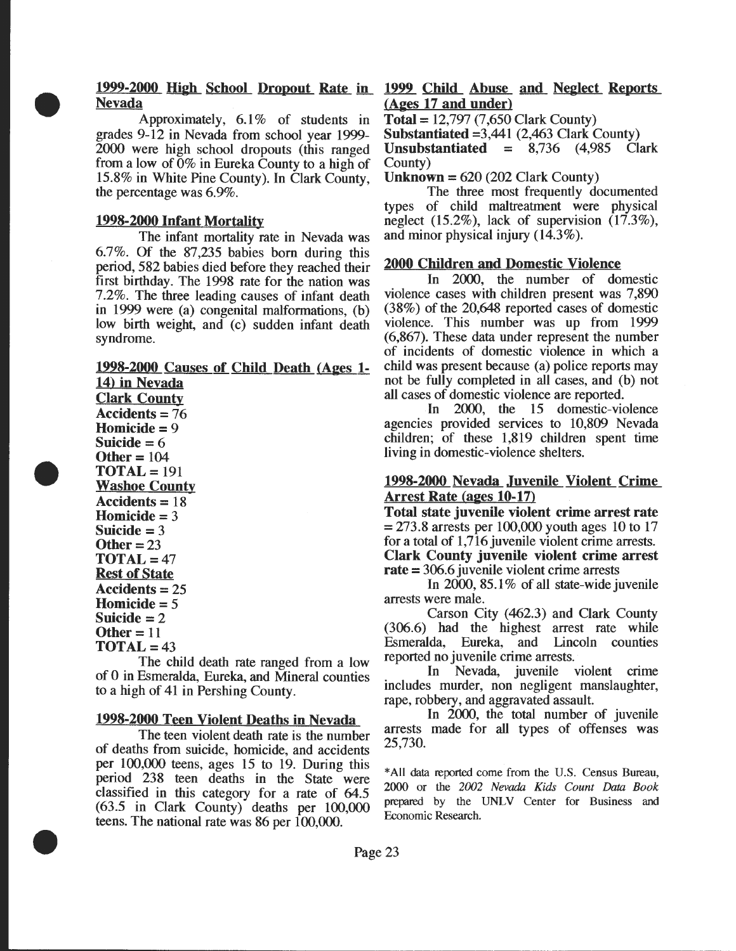# Nevada

Approximately, 6.1% of students in grades 9-12 in Nevada from school year 1999- 2000 were high school dropouts (this ranged from a low of 0% in Eureka County to a high of 15.8% in White Pine County). In Clark County, the percentage was 6.9%.

#### 1998-2000 Infant Mortality

•

•

•

The infant mortality rate in Nevada was 6.7%. Of the 87,235 babies born during this period, 582 babies died before they reached their first birthday. The 1998 rate for the nation was 7.2%. The three leading causes of infant death in 1999 were (a) congenital malformations, (b) low birth weight, and (c) sudden infant death syndrome.

## 1998-2000 Causes of Child Death (Ages 1-

14) in Nevada Clark County Accidents  $= 76$ Homicide  $=9$ Suicide  $= 6$ Other =  $104$  $\textbf{TOTAL} = 191$ **Washoe County** Accidents  $= 18$ Homicide  $= 3$ Suicide  $= 3$ Other =  $23$  $\textbf{TOTAL} = 47$ Rest of State  $Accidents = 25$ Homicide= *5*  Suicide  $= 2$ Other =  $11$  $\textbf{TOTAL} = 43$ 

The child death rate ranged from a low of 0 in Esmeralda, Eureka, and Mineral counties to a high of 41 in Pershing County.

#### 1998-2000 Teen Violent Deaths in Nevada

The teen violent death rate is the number of deaths from suicide, homicide, and accidents per 100,000 teens, ages 15 to 19. During this period 238 teen deaths in the State were classified in this category for a rate of 64.5 (63.5 in Clark County) deaths per 100,000 teens. The national rate was 86 per 100,000.

## 1999-2000 High School Dropout Rate in 1999 Child Abuse and Neglect Reports (Ages 17 and under)

Total= 12,797 (7,650 Clark County)

Substantiated =3,441 (2,463 Clark County)

Unsubstantiated =  $8,736$  (4,985 Clark County)

Unknown =  $620$  (202 Clark County)

The three most frequently documented types of child maltreatment were physical neglect (15.2%), lack of supervision (17.3%), and minor physical injury (14.3%).

#### 2000 Children and Domestic Violence

In 2000, the number of domestic violence cases with children present was 7,890 (38%) of the 20,648 reported cases of domestic violence. This number was up from 1999 (6,867). These data under represent the number of incidents of domestic violence in which a child was present because (a) police reports may not be fully completed in all cases, and (b) not all cases of domestic violence are reported.

In 2000, the 15 domestic-violence agencies provided services to 10,809 Nevada children; of these 1,819 children spent time living in domestic-violence shelters.

### 1998-2000 Nevada .Juvenile Violent Crime Arrest Rate (ages 10-17)

. Total state juvenile violent crime arrest rate  $= 273.8$  arrests per 100,000 youth ages 10 to 17 for a total of 1,716 juvenile violent crime arrests. Clark County juvenile violent crime arrest rate = 306.6 juvenile violent crime arrests

In 2000, 85.1% of all state-wide juvenile arrests were male.

Carson City (462.3) and Clark County (306.6) had the highest arrest rate while Esmeralda, Eureka, and Lincoln counties reported no juvenile crime arrests.

In Nevada, juvenile violent crime includes murder, non negligent manslaughter, rape, robbery, and aggravated assault.

In 2000, the total number of juvenile arrests made for all types of offenses was 25,730.

\*All data reported come from the U.S. Census Bureau, 2000 or the *2002 Nevada Kids Count Data Book*  prepared by the UNLV Center for Business and Economic Research.